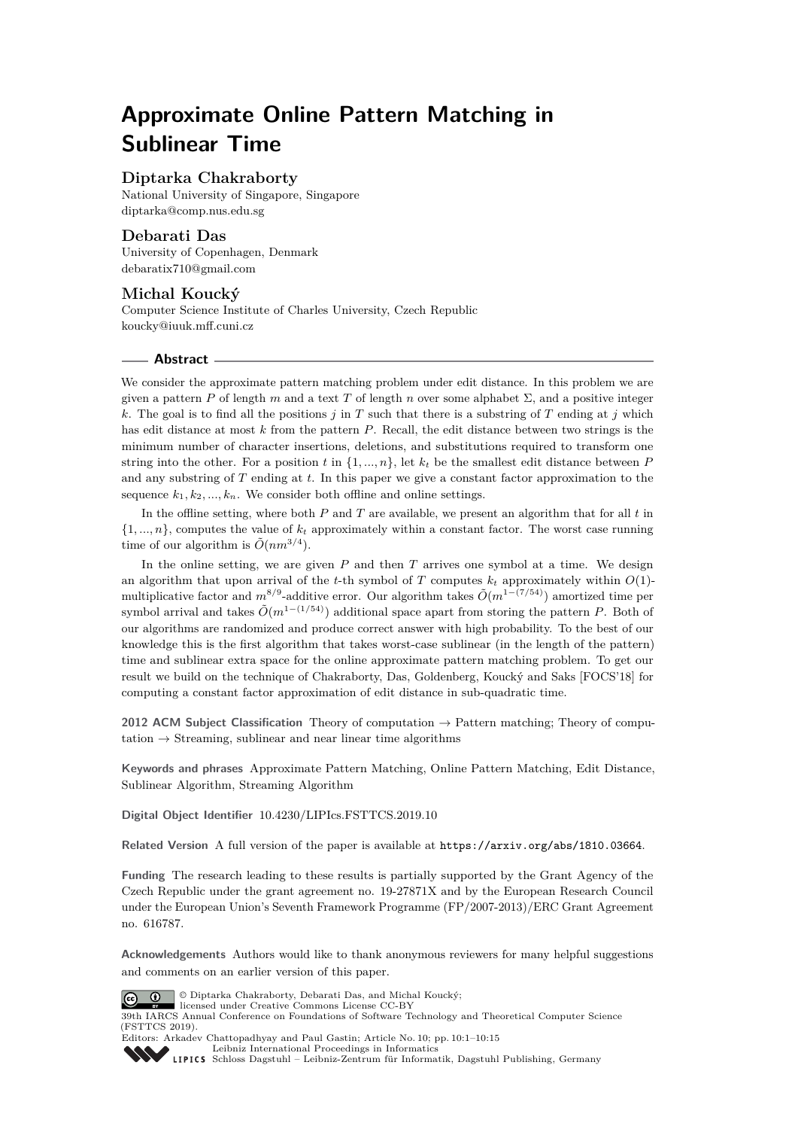# **Approximate Online Pattern Matching in Sublinear Time**

# **Diptarka Chakraborty**

National University of Singapore, Singapore [diptarka@comp.nus.edu.sg](mailto:diptarka@comp.nus.edu.sg)

## **Debarati Das**

University of Copenhagen, Denmark [debaratix710@gmail.com](mailto:debaratix710@gmail.com)

# **Michal Koucký**

Computer Science Institute of Charles University, Czech Republic [koucky@iuuk.mff.cuni.cz](mailto:koucky@iuuk.mff.cuni.cz)

## **Abstract**

We consider the approximate pattern matching problem under edit distance. In this problem we are given a pattern *P* of length *m* and a text *T* of length *n* over some alphabet  $\Sigma$ , and a positive integer *k*. The goal is to find all the positions *j* in *T* such that there is a substring of *T* ending at *j* which has edit distance at most *k* from the pattern *P*. Recall, the edit distance between two strings is the minimum number of character insertions, deletions, and substitutions required to transform one string into the other. For a position  $t$  in  $\{1, ..., n\}$ , let  $k_t$  be the smallest edit distance between P and any substring of *T* ending at *t*. In this paper we give a constant factor approximation to the sequence  $k_1, k_2, ..., k_n$ . We consider both offline and online settings.

In the offline setting, where both *P* and *T* are available, we present an algorithm that for all *t* in  $\{1, \ldots, n\}$ , computes the value of  $k_t$  approximately within a constant factor. The worst case running time of our algorithm is  $\tilde{O}(nm^{3/4})$ .

In the online setting, we are given *P* and then *T* arrives one symbol at a time. We design an algorithm that upon arrival of the *t*-th symbol of *T* computes  $k_t$  approximately within  $O(1)$ multiplicative factor and  $m^{8/9}$ -additive error. Our algorithm takes  $\tilde{O}(m^{1-(7/54)})$  amortized time per symbol arrival and takes  $\tilde{O}(m^{1-(1/54)})$  additional space apart from storing the pattern *P*. Both of our algorithms are randomized and produce correct answer with high probability. To the best of our knowledge this is the first algorithm that takes worst-case sublinear (in the length of the pattern) time and sublinear extra space for the online approximate pattern matching problem. To get our result we build on the technique of Chakraborty, Das, Goldenberg, Koucký and Saks [FOCS'18] for computing a constant factor approximation of edit distance in sub-quadratic time.

**2012 ACM Subject Classification** Theory of computation → Pattern matching; Theory of computation  $\rightarrow$  Streaming, sublinear and near linear time algorithms

**Keywords and phrases** Approximate Pattern Matching, Online Pattern Matching, Edit Distance, Sublinear Algorithm, Streaming Algorithm

**Digital Object Identifier** [10.4230/LIPIcs.FSTTCS.2019.10](https://doi.org/10.4230/LIPIcs.FSTTCS.2019.10)

**Related Version** A full version of the paper is available at <https://arxiv.org/abs/1810.03664>.

**Funding** The research leading to these results is partially supported by the Grant Agency of the Czech Republic under the grant agreement no. 19-27871X and by the European Research Council under the European Union's Seventh Framework Programme (FP/2007-2013)/ERC Grant Agreement no. 616787.

**Acknowledgements** Authors would like to thank anonymous reviewers for many helpful suggestions and comments on an earlier version of this paper.



© Diptarka Chakraborty, Debarati Das, and Michal Koucký;

licensed under Creative Commons License CC-BY 39th IARCS Annual Conference on Foundations of Software Technology and Theoretical Computer Science (FSTTCS 2019).

Editors: Arkadev Chattopadhyay and Paul Gastin; Article No. 10; pp. 10:1–10[:15](#page-14-0) [Leibniz International Proceedings in Informatics](https://www.dagstuhl.de/lipics/)

[Schloss Dagstuhl – Leibniz-Zentrum für Informatik, Dagstuhl Publishing, Germany](https://www.dagstuhl.de)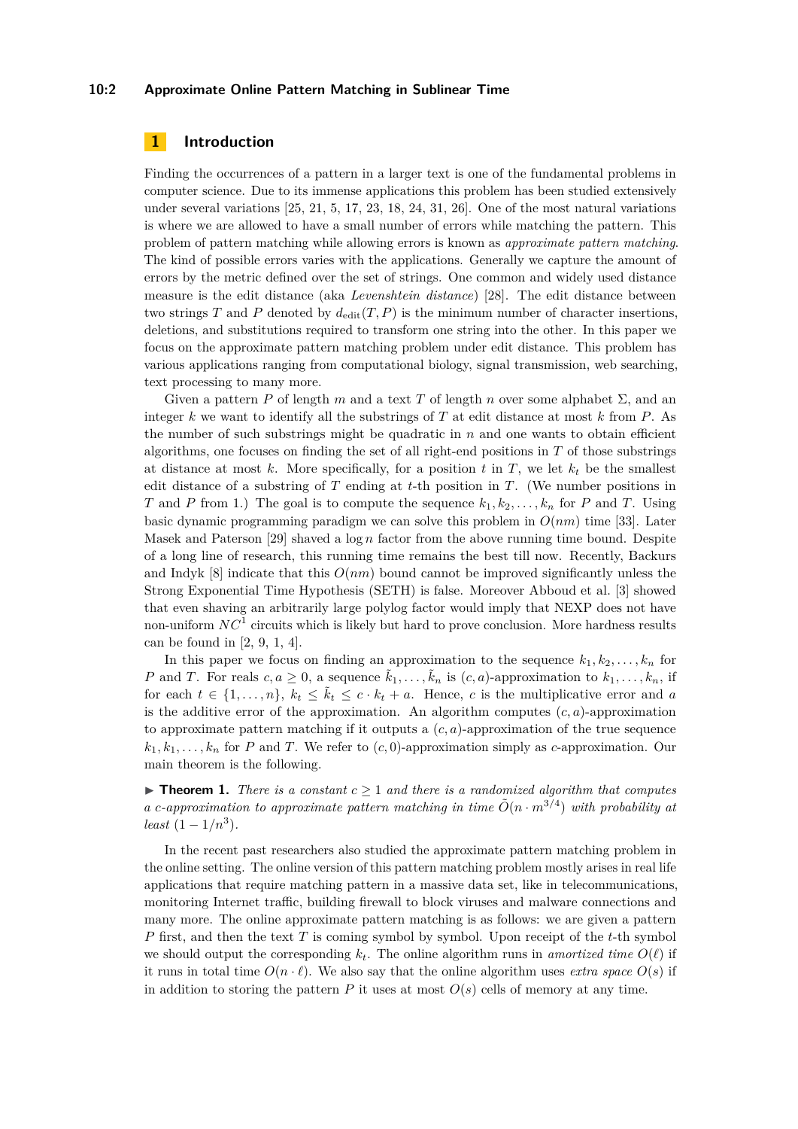#### **10:2 Approximate Online Pattern Matching in Sublinear Time**

# **1 Introduction**

Finding the occurrences of a pattern in a larger text is one of the fundamental problems in computer science. Due to its immense applications this problem has been studied extensively under several variations [\[25,](#page-14-1) [21,](#page-14-2) [5,](#page-13-0) [17,](#page-14-3) [23,](#page-14-4) [18,](#page-14-5) [24,](#page-14-6) [31,](#page-14-7) [26\]](#page-14-8). One of the most natural variations is where we are allowed to have a small number of errors while matching the pattern. This problem of pattern matching while allowing errors is known as *approximate pattern matching*. The kind of possible errors varies with the applications. Generally we capture the amount of errors by the metric defined over the set of strings. One common and widely used distance measure is the edit distance (aka *Levenshtein distance*) [\[28\]](#page-14-9). The edit distance between two strings  $T$  and  $P$  denoted by  $d_{\text{edit}}(T, P)$  is the minimum number of character insertions, deletions, and substitutions required to transform one string into the other. In this paper we focus on the approximate pattern matching problem under edit distance. This problem has various applications ranging from computational biology, signal transmission, web searching, text processing to many more.

Given a pattern *P* of length *m* and a text *T* of length *n* over some alphabet  $\Sigma$ , and an integer *k* we want to identify all the substrings of *T* at edit distance at most *k* from *P*. As the number of such substrings might be quadratic in  $n$  and one wants to obtain efficient algorithms, one focuses on finding the set of all right-end positions in *T* of those substrings at distance at most  $k$ . More specifically, for a position  $t$  in  $T$ , we let  $k_t$  be the smallest edit distance of a substring of *T* ending at *t*-th position in *T*. (We number positions in *T* and *P* from 1.) The goal is to compute the sequence  $k_1, k_2, \ldots, k_n$  for *P* and *T*. Using basic dynamic programming paradigm we can solve this problem in *O*(*nm*) time [\[33\]](#page-14-10). Later Masek and Paterson [\[29\]](#page-14-11) shaved a log *n* factor from the above running time bound. Despite of a long line of research, this running time remains the best till now. Recently, Backurs and Indyk  $[8]$  indicate that this  $O(nm)$  bound cannot be improved significantly unless the Strong Exponential Time Hypothesis (SETH) is false. Moreover Abboud et al. [\[3\]](#page-13-2) showed that even shaving an arbitrarily large polylog factor would imply that NEXP does not have non-uniform  $NC<sup>1</sup>$  circuits which is likely but hard to prove conclusion. More hardness results can be found in [\[2,](#page-13-3) [9,](#page-13-4) [1,](#page-13-5) [4\]](#page-13-6).

In this paper we focus on finding an approximation to the sequence  $k_1, k_2, \ldots, k_n$  for *P* and *T*. For reals  $c, a \geq 0$ , a sequence  $\tilde{k}_1, \ldots, \tilde{k}_n$  is  $(c, a)$ -approximation to  $k_1, \ldots, k_n$ , if for each  $t \in \{1, \ldots, n\}$ ,  $k_t \leq \tilde{k}_t \leq c \cdot k_t + a$ . Hence, *c* is the multiplicative error and *a* is the additive error of the approximation. An algorithm computes  $(c, a)$ -approximation to approximate pattern matching if it outputs a (*c, a*)-approximation of the true sequence  $k_1, k_1, \ldots, k_n$  for *P* and *T*. We refer to  $(c, 0)$ -approximation simply as *c*-approximation. Our main theorem is the following.

<span id="page-1-0"></span>**Find 1.** There is a constant  $c \geq 1$  and there is a randomized algorithm that computes *a c*-approximation to approximate pattern matching in time  $\tilde{O}(n \cdot m^{3/4})$  with probability at *least*  $(1 - 1/n^3)$ *.* 

<span id="page-1-1"></span>In the recent past researchers also studied the approximate pattern matching problem in the online setting. The online version of this pattern matching problem mostly arises in real life applications that require matching pattern in a massive data set, like in telecommunications, monitoring Internet traffic, building firewall to block viruses and malware connections and many more. The online approximate pattern matching is as follows: we are given a pattern *P* first, and then the text *T* is coming symbol by symbol. Upon receipt of the *t*-th symbol we should output the corresponding  $k_t$ . The online algorithm runs in *amortized time*  $O(\ell)$  if it runs in total time  $O(n \cdot \ell)$ . We also say that the online algorithm uses *extra space*  $O(s)$  if in addition to storing the pattern  $P$  it uses at most  $O(s)$  cells of memory at any time.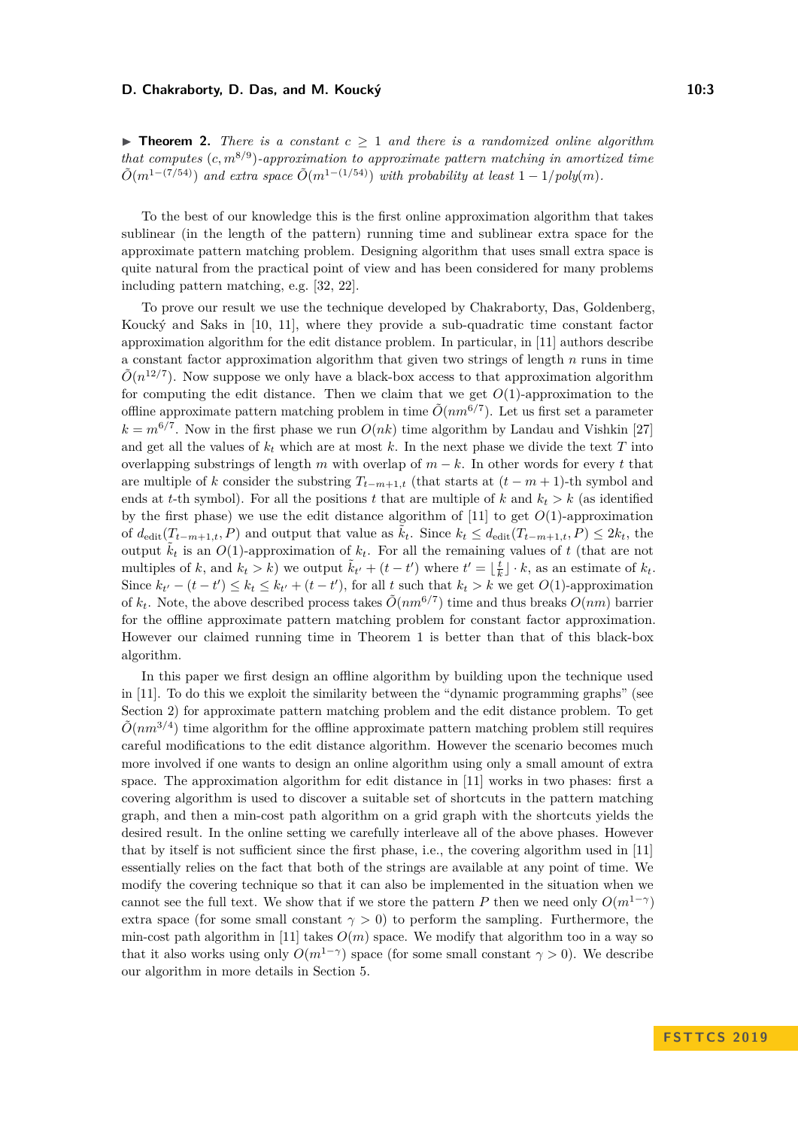#### **D. Chakraborty, D. Das, and M. Koucký 10:3** 10:3

**Findmen 2.** There is a constant  $c \geq 1$  and there is a randomized online algorithm *that computes* (*c, m*<sup>8</sup>*/*<sup>9</sup> )*-approximation to approximate pattern matching in amortized time*  $\tilde{O}(m^{1-(7/54)})$  *and extra space*  $\tilde{O}(m^{1-(1/54)})$  *with probability at least*  $1-1/poly(m)$ *.* 

To the best of our knowledge this is the first online approximation algorithm that takes sublinear (in the length of the pattern) running time and sublinear extra space for the approximate pattern matching problem. Designing algorithm that uses small extra space is quite natural from the practical point of view and has been considered for many problems including pattern matching, e.g. [\[32,](#page-14-12) [22\]](#page-14-13).

To prove our result we use the technique developed by Chakraborty, Das, Goldenberg, Koucký and Saks in [\[10,](#page-13-7) [11\]](#page-13-8), where they provide a sub-quadratic time constant factor approximation algorithm for the edit distance problem. In particular, in [\[11\]](#page-13-8) authors describe a constant factor approximation algorithm that given two strings of length *n* runs in time  $\tilde{O}(n^{12/7})$ . Now suppose we only have a black-box access to that approximation algorithm for computing the edit distance. Then we claim that we get  $O(1)$ -approximation to the offline approximate pattern matching problem in time  $\tilde{O}(nm^{6/7})$ . Let us first set a parameter  $k = m^{6/7}$ . Now in the first phase we run  $O(nk)$  time algorithm by Landau and Vishkin [\[27\]](#page-14-14) and get all the values of  $k_t$  which are at most  $k$ . In the next phase we divide the text  $T$  into overlapping substrings of length *m* with overlap of  $m - k$ . In other words for every *t* that are multiple of *k* consider the substring  $T_{t-m+1,t}$  (that starts at  $(t-m+1)$ -th symbol and ends at *t*-th symbol). For all the positions *t* that are multiple of *k* and  $k_t > k$  (as identified by the first phase) we use the edit distance algorithm of  $[11]$  to get  $O(1)$ -approximation of  $d_{\text{edit}}(T_{t-m+1,t}, P)$  and output that value as  $k_t$ . Since  $k_t \leq d_{\text{edit}}(T_{t-m+1,t}, P) \leq 2k_t$ , the output  $\tilde{k}_t$  is an  $O(1)$ -approximation of  $k_t$ . For all the remaining values of t (that are not multiples of *k*, and  $k_t > k$ ) we output  $\tilde{k}_{t'} + (t - t')$  where  $t' = \lfloor \frac{t}{k} \rfloor \cdot k$ , as an estimate of  $k_t$ . Since  $k_{t'} - (t - t') \leq k_t \leq k_{t'} + (t - t')$ , for all *t* such that  $k_t > k$  we get  $O(1)$ -approximation of  $k_t$ . Note, the above described process takes  $\tilde{O}(nm^{6/7})$  time and thus breaks  $O(nm)$  barrier for the offline approximate pattern matching problem for constant factor approximation. However our claimed running time in Theorem [1](#page-1-0) is better than that of this black-box algorithm.

In this paper we first design an offline algorithm by building upon the technique used in [\[11\]](#page-13-8). To do this we exploit the similarity between the "dynamic programming graphs" (see Section [2\)](#page-3-0) for approximate pattern matching problem and the edit distance problem. To get  $\tilde{O}(nm^{3/4})$  time algorithm for the offline approximate pattern matching problem still requires careful modifications to the edit distance algorithm. However the scenario becomes much more involved if one wants to design an online algorithm using only a small amount of extra space. The approximation algorithm for edit distance in [\[11\]](#page-13-8) works in two phases: first a covering algorithm is used to discover a suitable set of shortcuts in the pattern matching graph, and then a min-cost path algorithm on a grid graph with the shortcuts yields the desired result. In the online setting we carefully interleave all of the above phases. However that by itself is not sufficient since the first phase, i.e., the covering algorithm used in [\[11\]](#page-13-8) essentially relies on the fact that both of the strings are available at any point of time. We modify the covering technique so that it can also be implemented in the situation when we cannot see the full text. We show that if we store the pattern *P* then we need only  $O(m^{1-\gamma})$ extra space (for some small constant  $\gamma > 0$ ) to perform the sampling. Furthermore, the min-cost path algorithm in [\[11\]](#page-13-8) takes  $O(m)$  space. We modify that algorithm too in a way so that it also works using only  $O(m^{1-\gamma})$  space (for some small constant  $\gamma > 0$ ). We describe our algorithm in more details in Section [5.](#page-10-0)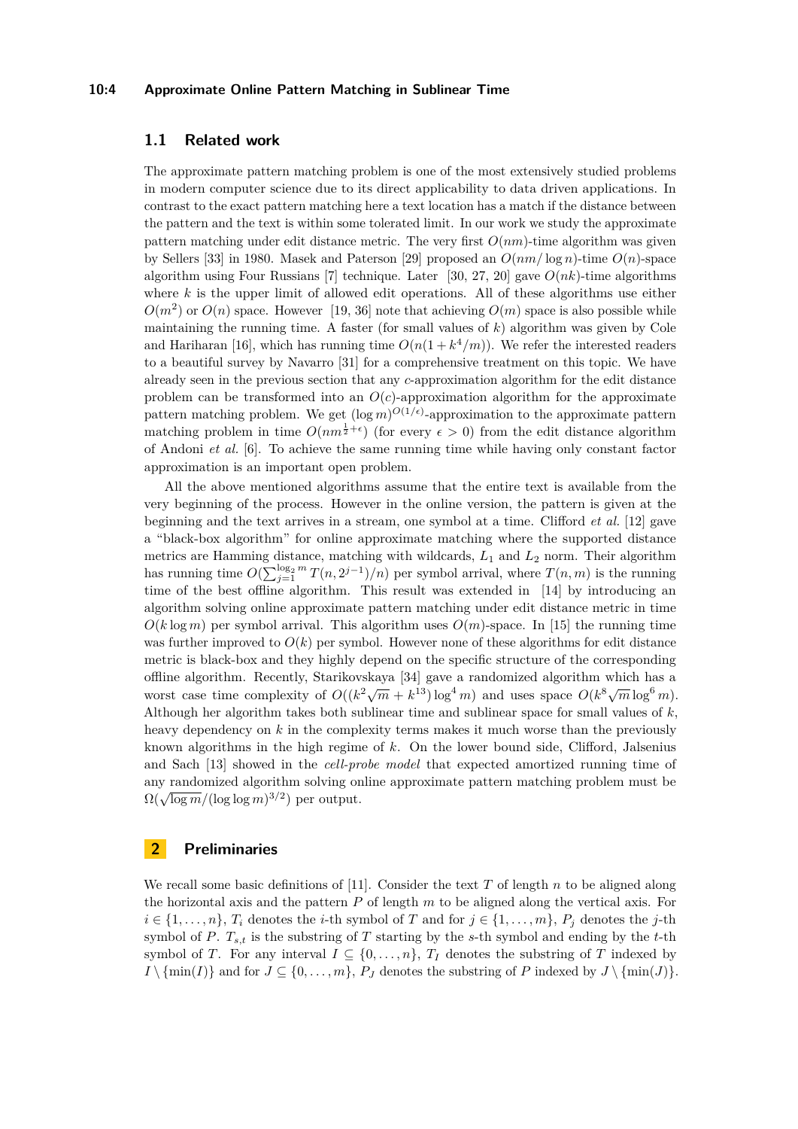#### **10:4 Approximate Online Pattern Matching in Sublinear Time**

# **1.1 Related work**

The approximate pattern matching problem is one of the most extensively studied problems in modern computer science due to its direct applicability to data driven applications. In contrast to the exact pattern matching here a text location has a match if the distance between the pattern and the text is within some tolerated limit. In our work we study the approximate pattern matching under edit distance metric. The very first *O*(*nm*)-time algorithm was given by Sellers [\[33\]](#page-14-10) in 1980. Masek and Paterson [\[29\]](#page-14-11) proposed an *O*(*nm/* log *n*)-time *O*(*n*)-space algorithm using Four Russians [\[7\]](#page-13-9) technique. Later [\[30,](#page-14-15) [27,](#page-14-14) [20\]](#page-14-16) gave *O*(*nk*)-time algorithms where *k* is the upper limit of allowed edit operations. All of these algorithms use either  $O(m^2)$  or  $O(n)$  space. However [\[19,](#page-14-17) [36\]](#page-14-18) note that achieving  $O(m)$  space is also possible while maintaining the running time. A faster (for small values of *k*) algorithm was given by Cole and Hariharan [\[16\]](#page-14-19), which has running time  $O(n(1 + k^4/m))$ . We refer the interested readers to a beautiful survey by Navarro [\[31\]](#page-14-7) for a comprehensive treatment on this topic. We have already seen in the previous section that any *c*-approximation algorithm for the edit distance problem can be transformed into an  $O(c)$ -approximation algorithm for the approximate pattern matching problem. We get  $(\log m)^{O(1/\epsilon)}$ -approximation to the approximate pattern matching problem in time  $O(nm^{\frac{1}{2}+\epsilon})$  (for every  $\epsilon > 0$ ) from the edit distance algorithm of Andoni *et al.* [\[6\]](#page-13-10). To achieve the same running time while having only constant factor approximation is an important open problem.

All the above mentioned algorithms assume that the entire text is available from the very beginning of the process. However in the online version, the pattern is given at the beginning and the text arrives in a stream, one symbol at a time. Clifford *et al.* [\[12\]](#page-13-11) gave a "black-box algorithm" for online approximate matching where the supported distance metrics are Hamming distance, matching with wildcards, *L*<sup>1</sup> and *L*<sup>2</sup> norm. Their algorithm has running time  $O(\sum_{j=1}^{\log_2 m} T(n, 2^{j-1})/n)$  per symbol arrival, where  $T(n, m)$  is the running time of the best offline algorithm. This result was extended in [\[14\]](#page-13-12) by introducing an algorithm solving online approximate pattern matching under edit distance metric in time  $O(k \log m)$  per symbol arrival. This algorithm uses  $O(m)$ -space. In [\[15\]](#page-14-20) the running time was further improved to  $O(k)$  per symbol. However none of these algorithms for edit distance metric is black-box and they highly depend on the specific structure of the corresponding offline algorithm. Recently, Starikovskaya [\[34\]](#page-14-21) gave a randomized algorithm which has a worst case time complexity of  $O((k^2\sqrt{m} + k^{13})\log^4 m)$  and uses space  $O(k^8\sqrt{m}\log^6 m)$ . Although her algorithm takes both sublinear time and sublinear space for small values of *k*, heavy dependency on *k* in the complexity terms makes it much worse than the previously known algorithms in the high regime of *k*. On the lower bound side, Clifford, Jalsenius and Sach [\[13\]](#page-13-13) showed in the *cell-probe model* that expected amortized running time of any randomized algorithm solving online approximate pattern matching problem must be  $\Omega(\sqrt{\log m}/(\log\log m)^{3/2})$  per output.

# <span id="page-3-0"></span>**2 Preliminaries**

We recall some basic definitions of [\[11\]](#page-13-8). Consider the text *T* of length *n* to be aligned along the horizontal axis and the pattern *P* of length *m* to be aligned along the vertical axis. For  $i \in \{1, \ldots, n\}$ ,  $T_i$  denotes the *i*-th symbol of *T* and for  $j \in \{1, \ldots, m\}$ ,  $P_j$  denotes the *j*-th symbol of *P*.  $T_{s,t}$  is the substring of *T* starting by the *s*-th symbol and ending by the *t*-th symbol of *T*. For any interval  $I \subseteq \{0, \ldots, n\}$ ,  $T_I$  denotes the substring of *T* indexed by  $I \setminus \{\min(I)\}\$ and for  $J \subseteq \{0, \ldots, m\}$ ,  $P_J$  denotes the substring of *P* indexed by  $J \setminus \{\min(J)\}\$ .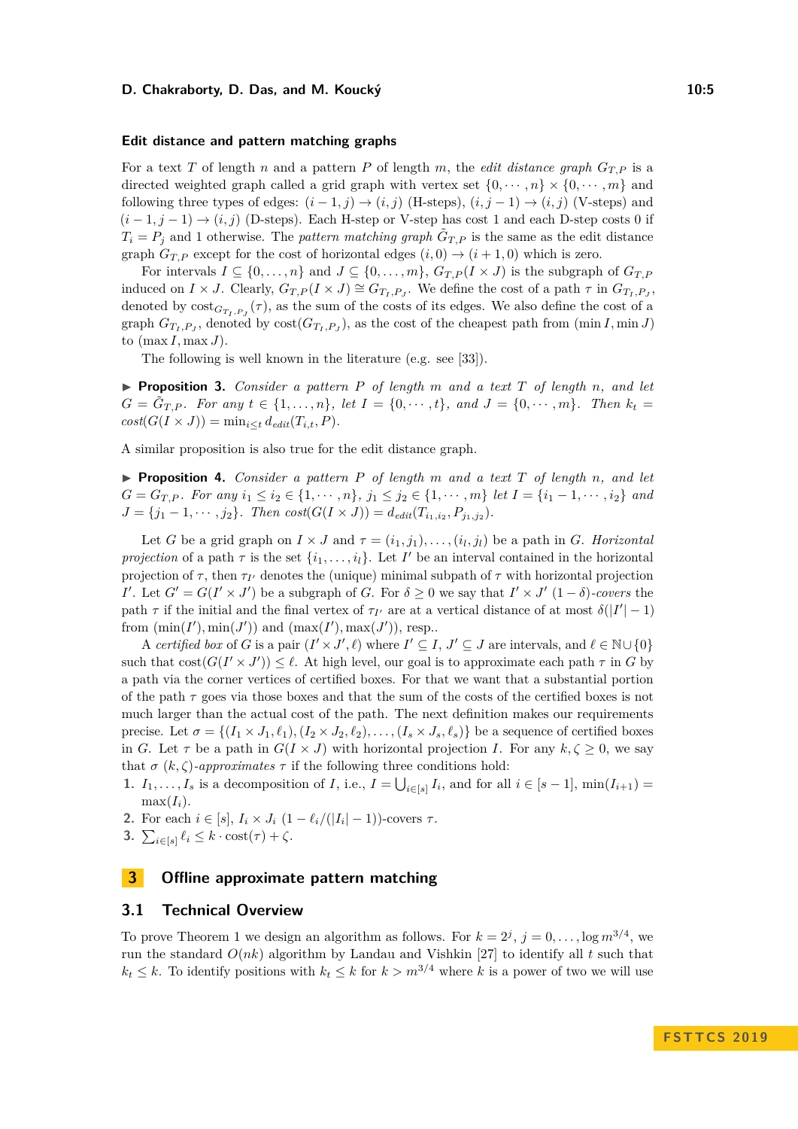#### **D. Chakraborty, D. Das, and M. Koucký 10:5** 10:5

#### **Edit distance and pattern matching graphs**

For a text *T* of length *n* and a pattern *P* of length *m*, the *edit distance graph*  $G_{T,P}$  is a directed weighted graph called a grid graph with vertex set  $\{0, \dots, n\} \times \{0, \dots, m\}$  and following three types of edges:  $(i-1, j) \rightarrow (i, j)$  (H-steps),  $(i, j-1) \rightarrow (i, j)$  (V-steps) and  $(i-1, j-1) \rightarrow (i, j)$  (D-steps). Each H-step or V-step has cost 1 and each D-step costs 0 if  $T_i = P_j$  and 1 otherwise. The *pattern matching graph*  $\tilde{G}_{T,P}$  is the same as the edit distance graph  $G_{T,P}$  except for the cost of horizontal edges  $(i,0) \rightarrow (i+1,0)$  which is zero.

For intervals  $I \subseteq \{0, \ldots, n\}$  and  $J \subseteq \{0, \ldots, m\}$ ,  $G_{T,P}(I \times J)$  is the subgraph of  $G_{T,P}$ induced on  $I \times J$ . Clearly,  $G_{T,P}(I \times J) \cong G_{T_I,P_J}$ . We define the cost of a path  $\tau$  in  $G_{T_I,P_J}$ , denoted by  $\text{cost}_{G_{T_I, P_J}}(\tau)$ , as the sum of the costs of its edges. We also define the cost of a graph  $G_{T_I, P_J}$ , denoted by  $\text{cost}(G_{T_I, P_J})$ , as the cost of the cheapest path from  $(\min I, \min J)$ to  $(\max I, \max J)$ .

The following is well known in the literature (e.g. see [\[33\]](#page-14-10)).

 $\triangleright$  **Proposition 3.** *Consider a pattern P of length m and a text T of length n, and let*  $G = \tilde{G}_{T,P}$ *. For any*  $t \in \{1, ..., n\}$ *, let*  $I = \{0, \dots, t\}$ *, and*  $J = \{0, \dots, m\}$ *. Then*  $k_t =$  $cost(G(I \times J)) = \min_{i \leq t} d_{edit}(T_{i,t}, P).$ 

A similar proposition is also true for the edit distance graph.

 $\triangleright$  **Proposition 4.** *Consider a pattern P of length m and a text T of length n*, *and let*  $G = G_{T,P}$ . For any  $i_1 \leq i_2 \in \{1, \dots, n\}$ ,  $j_1 \leq j_2 \in \{1, \dots, m\}$  let  $I = \{i_1 - 1, \dots, i_2\}$  and  $J = \{j_1 - 1, \dots, j_2\}$ *. Then cost*( $G(I \times J)$ ) =  $d_{edit}(T_{i_1, i_2}, P_{j_1, j_2})$ *.* 

Let *G* be a grid graph on  $I \times J$  and  $\tau = (i_1, j_1), \ldots, (i_l, j_l)$  be a path in *G*. *Horizontal projection* of a path  $\tau$  is the set  $\{i_1, \ldots, i_l\}$ . Let *I*' be an interval contained in the horizontal projection of  $\tau$ , then  $\tau_{I'}$  denotes the (unique) minimal subpath of  $\tau$  with horizontal projection *I*<sup> $\prime$ </sup>. Let *G*<sup> $\prime$ </sup> = *G*(*I*<sup> $\prime$ </sup> × *J*<sup> $\prime$ </sup>) be a subgraph of *G*. For  $\delta \geq 0$  we say that  $I' \times J'$  (1 −  $\delta$ )*-covers* the path  $\tau$  if the initial and the final vertex of  $\tau_{I'}$  are at a vertical distance of at most  $\delta(|I'|-1)$ from  $(\min(I'), \min(J'))$  and  $(\max(I'), \max(J'))$ , resp...

A *certified box* of *G* is a pair  $(I' \times J', \ell)$  where  $I' \subseteq I, J' \subseteq J$  are intervals, and  $\ell \in \mathbb{N} \cup \{0\}$ such that  $cost(G(I' \times J')) \leq \ell$ . At high level, our goal is to approximate each path  $\tau$  in *G* by a path via the corner vertices of certified boxes. For that we want that a substantial portion of the path  $\tau$  goes via those boxes and that the sum of the costs of the certified boxes is not much larger than the actual cost of the path. The next definition makes our requirements precise. Let  $\sigma = \{(I_1 \times J_1, \ell_1), (I_2 \times J_2, \ell_2), \ldots, (I_s \times J_s, \ell_s)\}\)$  be a sequence of certified boxes in *G*. Let  $\tau$  be a path in  $G(I \times J)$  with horizontal projection *I*. For any  $k, \zeta \geq 0$ , we say that  $\sigma(k,\zeta)$ -*approximates*  $\tau$  if the following three conditions hold:

**1.**  $I_1, \ldots, I_s$  is a decomposition of *I*, i.e.,  $I = \bigcup_{i \in [s]} I_i$ , and for all  $i \in [s-1]$ ,  $\min(I_{i+1}) =$  $max(I_i)$ .

- **2.** For each  $i \in [s], I_i \times J_i (1 \ell_i/(|I_i| 1))$ -covers  $\tau$ .
- **3.**  $\sum_{i \in [s]} \ell_i \leq k \cdot \text{cost}(\tau) + \zeta$ .

# **3 Offline approximate pattern matching**

#### **3.1 Technical Overview**

To prove Theorem [1](#page-1-0) we design an algorithm as follows. For  $k = 2^j$ ,  $j = 0, \ldots, \log m^{3/4}$ , we run the standard  $O(nk)$  algorithm by Landau and Vishkin [\[27\]](#page-14-14) to identify all t such that  $k_t \leq k$ . To identify positions with  $k_t \leq k$  for  $k > m^{3/4}$  where *k* is a power of two we will use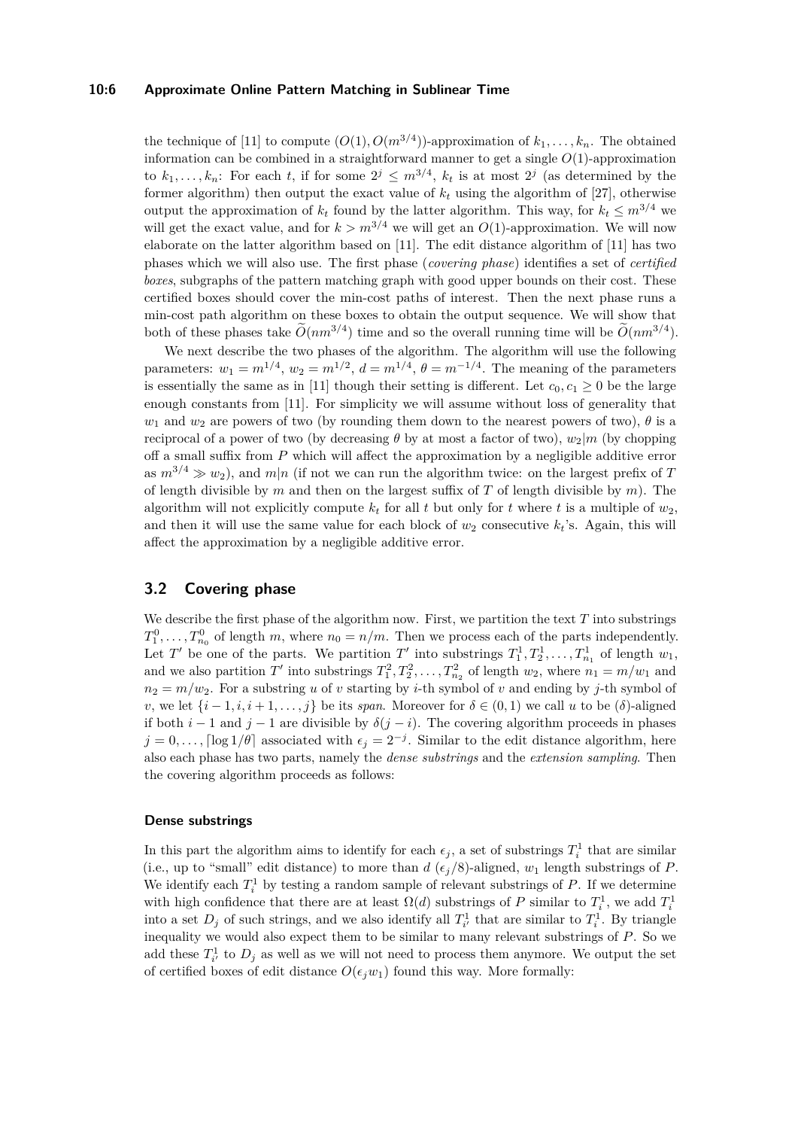#### **10:6 Approximate Online Pattern Matching in Sublinear Time**

the technique of [\[11\]](#page-13-8) to compute  $(O(1), O(m^{3/4}))$ -approximation of  $k_1, \ldots, k_n$ . The obtained information can be combined in a straightforward manner to get a single  $O(1)$ -approximation to  $k_1, \ldots, k_n$ : For each *t*, if for some  $2^j \leq m^{3/4}$ ,  $k_t$  is at most  $2^j$  (as determined by the former algorithm) then output the exact value of  $k_t$  using the algorithm of [\[27\]](#page-14-14), otherwise output the approximation of  $k_t$  found by the latter algorithm. This way, for  $k_t \leq m^{3/4}$  we will get the exact value, and for  $k > m^{3/4}$  we will get an  $O(1)$ -approximation. We will now elaborate on the latter algorithm based on [\[11\]](#page-13-8). The edit distance algorithm of [\[11\]](#page-13-8) has two phases which we will also use. The first phase (*covering phase*) identifies a set of *certified boxes*, subgraphs of the pattern matching graph with good upper bounds on their cost. These certified boxes should cover the min-cost paths of interest. Then the next phase runs a min-cost path algorithm on these boxes to obtain the output sequence. We will show that both of these phases take  $\tilde{O}(nm^{3/4})$  time and so the overall running time will be  $\tilde{O}(nm^{3/4})$ .

We next describe the two phases of the algorithm. The algorithm will use the following parameters:  $w_1 = m^{1/4}$ ,  $w_2 = m^{1/2}$ ,  $d = m^{1/4}$ ,  $\theta = m^{-1/4}$ . The meaning of the parameters is essentially the same as in [\[11\]](#page-13-8) though their setting is different. Let  $c_0, c_1 \geq 0$  be the large enough constants from [\[11\]](#page-13-8). For simplicity we will assume without loss of generality that *w*<sub>1</sub> and *w*<sub>2</sub> are powers of two (by rounding them down to the nearest powers of two),  $\theta$  is a reciprocal of a power of two (by decreasing  $\theta$  by at most a factor of two),  $w_2|m$  (by chopping off a small suffix from *P* which will affect the approximation by a negligible additive error as  $m^{3/4} \gg w_2$ ), and  $m|n$  (if not we can run the algorithm twice: on the largest prefix of *T* of length divisible by *m* and then on the largest suffix of *T* of length divisible by *m*). The algorithm will not explicitly compute  $k_t$  for all t but only for t where t is a multiple of  $w_2$ , and then it will use the same value for each block of  $w_2$  consecutive  $k_t$ 's. Again, this will affect the approximation by a negligible additive error.

## <span id="page-5-0"></span>**3.2 Covering phase**

We describe the first phase of the algorithm now. First, we partition the text  $T$  into substrings  $T_1^0, \ldots, T_{n_0}^0$  of length *m*, where  $n_0 = n/m$ . Then we process each of the parts independently. Let *T*<sup> $\prime$ </sup> be one of the parts. We partition *T*<sup> $\prime$ </sup> into substrings  $T_1^1, T_2^1, \ldots, T_{n_1}^1$  of length  $w_1$ , and we also partition  $T'$  into substrings  $T_1^2, T_2^2, \ldots, T_{n_2}^2$  of length  $w_2$ , where  $n_1 = m/w_1$  and  $n_2 = m/w_2$ . For a substring *u* of *v* starting by *i*-th symbol of *v* and ending by *j*-th symbol of *v*, we let  $\{i-1, i, i+1, \ldots, j\}$  be its *span*. Moreover for  $\delta \in (0,1)$  we call *u* to be  $(\delta)$ -aligned if both  $i - 1$  and  $j - 1$  are divisible by  $\delta(j - i)$ . The covering algorithm proceeds in phases  $j = 0, \ldots$ ,  $\lceil \log 1/\theta \rceil$  associated with  $\epsilon_j = 2^{-j}$ . Similar to the edit distance algorithm, here also each phase has two parts, namely the *dense substrings* and the *extension sampling*. Then the covering algorithm proceeds as follows:

#### **Dense substrings**

In this part the algorithm aims to identify for each  $\epsilon_j$ , a set of substrings  $T_i^1$  that are similar (i.e., up to "small" edit distance) to more than *d* ( $\epsilon_j/8$ )-aligned,  $w_1$  length substrings of *P*. We identify each  $T_i^1$  by testing a random sample of relevant substrings of  $P$ . If we determine with high confidence that there are at least  $\Omega(d)$  substrings of *P* similar to  $T_i^1$ , we add  $T_i^1$ into a set  $D_j$  of such strings, and we also identify all  $T_{i'}^1$  that are similar to  $T_i^1$ . By triangle inequality we would also expect them to be similar to many relevant substrings of *P*. So we add these  $T_{i'}^1$  to  $D_j$  as well as we will not need to process them anymore. We output the set of certified boxes of edit distance  $O(\epsilon_i w_1)$  found this way. More formally: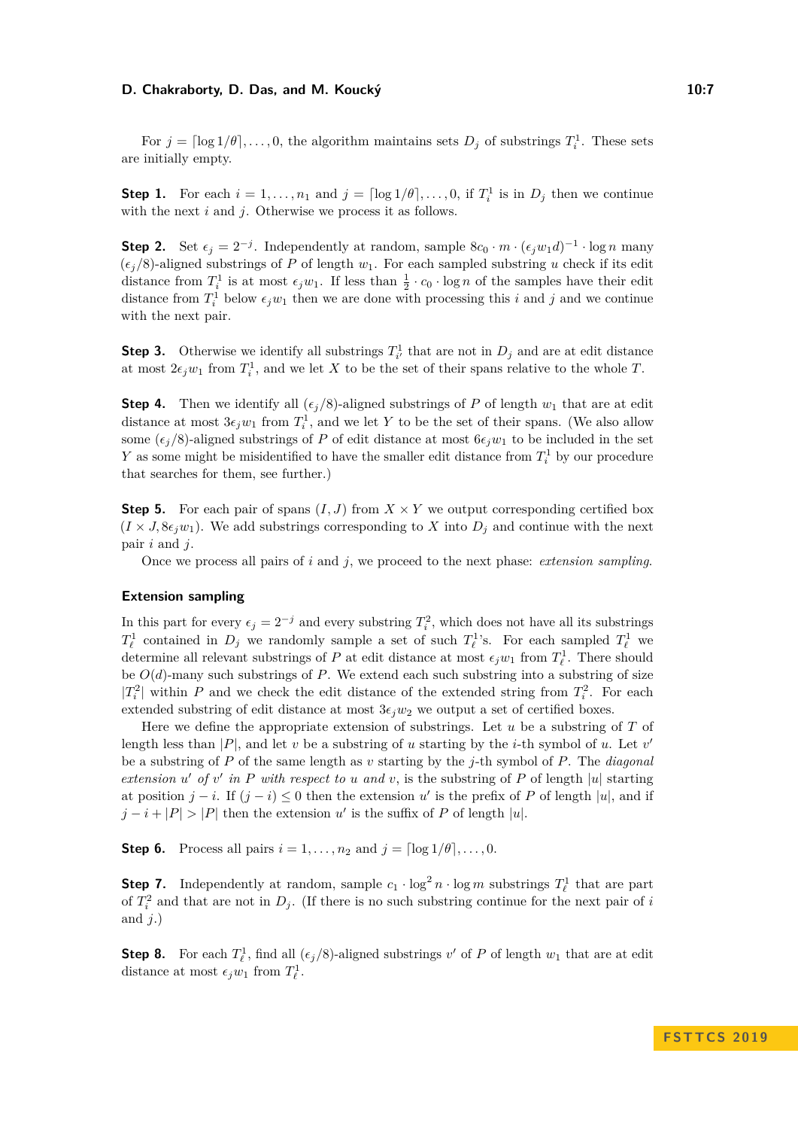#### **D. Chakraborty, D. Das, and M. Koucký 10:7** 10:7

For  $j = \lceil \log 1/\theta \rceil, \ldots, 0$ , the algorithm maintains sets  $D_j$  of substrings  $T_i^1$ . These sets are initially empty.

**Step 1.** For each  $i = 1, ..., n_1$  and  $j = \lceil \log 1/\theta \rceil, ..., 0$ , if  $T_i^1$  is in  $D_j$  then we continue with the next *i* and *j*. Otherwise we process it as follows.

**Step 2.** Set  $\epsilon_j = 2^{-j}$ . Independently at random, sample  $8c_0 \cdot m \cdot (\epsilon_j w_1 d)^{-1} \cdot \log n$  many  $(\epsilon_i/8)$ -aligned substrings of *P* of length  $w_1$ . For each sampled substring *u* check if its edit distance from  $T_i^1$  is at most  $\epsilon_j w_1$ . If less than  $\frac{1}{2} \cdot c_0 \cdot \log n$  of the samples have their edit distance from  $T_i^1$  below  $\epsilon_j w_1$  then we are done with processing this *i* and *j* and we continue with the next pair.

**Step 3.** Otherwise we identify all substrings  $T_i^1$  that are not in  $D_j$  and are at edit distance at most  $2\epsilon_j w_1$  from  $T_i^1$ , and we let *X* to be the set of their spans relative to the whole *T*.

**Step 4.** Then we identify all  $(\epsilon_i/8)$ -aligned substrings of *P* of length  $w_1$  that are at edit distance at most  $3\epsilon_j w_1$  from  $T_i^1$ , and we let Y to be the set of their spans. (We also allow some  $(\epsilon_i/8)$ -aligned substrings of *P* of edit distance at most  $6\epsilon_i w_1$  to be included in the set *Y* as some might be misidentified to have the smaller edit distance from  $T_i^1$  by our procedure that searches for them, see further.)

**Step 5.** For each pair of spans  $(I, J)$  from  $X \times Y$  we output corresponding certified box  $(I \times J, 8\epsilon_i w_1)$ . We add substrings corresponding to X into  $D_i$  and continue with the next pair *i* and *j*.

Once we process all pairs of *i* and *j*, we proceed to the next phase: *extension sampling*.

#### **Extension sampling**

In this part for every  $\epsilon_j = 2^{-j}$  and every substring  $T_i^2$ , which does not have all its substrings  $T^1_\ell$  contained in  $D_j$  we randomly sample a set of such  $T^1_\ell$ 's. For each sampled  $T^1_\ell$  we determine all relevant substrings of *P* at edit distance at most  $\epsilon_j w_1$  from  $T^1_{\ell}$ . There should be  $O(d)$ -many such substrings of *P*. We extend each such substring into a substring of size  $|T_i^2|$  within *P* and we check the edit distance of the extended string from  $T_i^2$ . For each extended substring of edit distance at most  $3\epsilon_j w_2$  we output a set of certified boxes.

Here we define the appropriate extension of substrings. Let *u* be a substring of *T* of length less than  $|P|$ , and let *v* be a substring of *u* starting by the *i*-th symbol of *u*. Let *v*<sup>'</sup> be a substring of *P* of the same length as *v* starting by the *j*-th symbol of *P*. The *diagonal extension*  $u'$  *of*  $v'$  *in*  $P$  *with respect to*  $u$  *and*  $v$ , is the substring of  $P$  of length  $|u|$  starting at position  $j - i$ . If  $(j - i) \leq 0$  then the extension  $u'$  is the prefix of *P* of length  $|u|$ , and if  $j - i + |P| > |P|$  then the extension *u*' is the suffix of *P* of length |*u*|.

**Step 6.** Process all pairs  $i = 1, ..., n_2$  and  $j = \lceil \log 1/\theta \rceil, ..., 0$ .

**Step 7.** Independently at random, sample  $c_1 \cdot \log^2 n \cdot \log m$  substrings  $T^1_\ell$  that are part of  $T_i^2$  and that are not in  $D_j$ . (If there is no such substring continue for the next pair of *i* and *j*.)

**Step 8.** For each  $T^1_\ell$ , find all  $(\epsilon_j/8)$ -aligned substrings *v*' of *P* of length  $w_1$  that are at edit distance at most  $\epsilon_j w_1$  from  $T^1_\ell$ .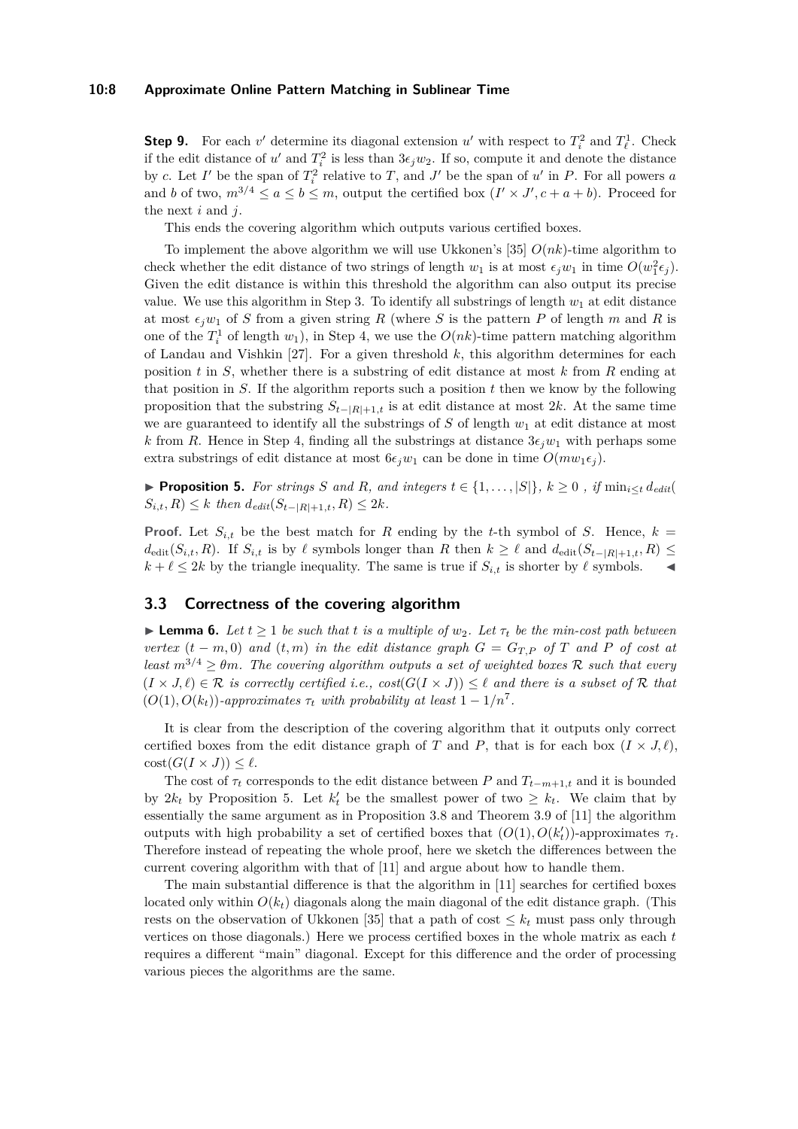#### **10:8 Approximate Online Pattern Matching in Sublinear Time**

**Step 9.** For each  $v'$  determine its diagonal extension  $u'$  with respect to  $T_i^2$  and  $T_\ell^1$ . Check if the edit distance of  $u'$  and  $T_i^2$  is less than  $3\epsilon_j w_2$ . If so, compute it and denote the distance by *c*. Let *I*' be the span of  $T_i^2$  relative to *T*, and *J*' be the span of *u*' in *P*. For all powers *a* and *b* of two,  $m^{3/4} \le a \le b \le m$ , output the certified box  $(I' \times J', c + a + b)$ . Proceed for the next *i* and *j*.

This ends the covering algorithm which outputs various certified boxes.

To implement the above algorithm we will use Ukkonen's [\[35\]](#page-14-22)  $O(nk)$ -time algorithm to check whether the edit distance of two strings of length  $w_1$  is at most  $\epsilon_j w_1$  in time  $O(w_1^2 \epsilon_j)$ . Given the edit distance is within this threshold the algorithm can also output its precise value. We use this algorithm in Step 3. To identify all substrings of length  $w_1$  at edit distance at most  $\epsilon_i w_1$  of *S* from a given string *R* (where *S* is the pattern *P* of length *m* and *R* is one of the  $T_i^1$  of length  $w_1$ ), in Step 4, we use the  $O(nk)$ -time pattern matching algorithm of Landau and Vishkin  $[27]$ . For a given threshold  $k$ , this algorithm determines for each position *t* in *S*, whether there is a substring of edit distance at most *k* from *R* ending at that position in *S*. If the algorithm reports such a position *t* then we know by the following proposition that the substring  $S_{t-|R|+1,t}$  is at edit distance at most 2*k*. At the same time we are guaranteed to identify all the substrings of *S* of length  $w_1$  at edit distance at most *k* from *R*. Hence in Step 4, finding all the substrings at distance  $3\epsilon_j w_1$  with perhaps some extra substrings of edit distance at most  $6\epsilon_j w_1$  can be done in time  $O(mw_1\epsilon_j)$ .

<span id="page-7-0"></span>▶ **Proposition 5.** For strings S and R, and integers  $t \in \{1, \ldots, |S|\}$ ,  $k \geq 0$  , if  $\min_{i \leq t} d_{edit}$  $S_{i,t}, R) \leq k$  *then*  $d_{edit}(S_{t-|R|+1,t}, R) \leq 2k$ *.* 

**Proof.** Let  $S_{i,t}$  be the best match for *R* ending by the *t*-th symbol of *S*. Hence,  $k =$  $d_{\text{edit}}(S_{i,t}, R)$ . If  $S_{i,t}$  is by  $\ell$  symbols longer than  $R$  then  $k \geq \ell$  and  $d_{\text{edit}}(S_{t-|R|+1,t}, R) \leq$  $k + \ell \leq 2k$  by the triangle inequality. The same is true if  $S_{i,t}$  is shorter by  $\ell$  symbols.

# **3.3 Correctness of the covering algorithm**

<span id="page-7-1"></span>**Lemma 6.** Let  $t \geq 1$  be such that t is a multiple of  $w_2$ . Let  $\tau_t$  be the min-cost path between *vertex*  $(t - m, 0)$  *and*  $(t, m)$  *in the edit distance graph*  $G = G_{T,P}$  *of*  $T$  *and*  $P$  *of cost at least*  $m^{3/4} \geq \theta m$ *. The covering algorithm outputs a set of weighted boxes* R *such that every*  $(I \times J, \ell) \in \mathcal{R}$  *is correctly certified i.e.,*  $cost(G(I \times J)) \leq \ell$  *and there is a subset of*  $\mathcal{R}$  *that*  $(O(1), O(k_t))$ *-approximates*  $\tau_t$  *with probability at least*  $1 - 1/n^7$ *.* 

It is clear from the description of the covering algorithm that it outputs only correct certified boxes from the edit distance graph of *T* and *P*, that is for each box  $(I \times J, \ell)$ ,  $\mathrm{cost}(G(I \times J)) \leq \ell.$ 

The cost of  $\tau_t$  corresponds to the edit distance between *P* and  $T_{t-m+1,t}$  and it is bounded by  $2k_t$  by Proposition [5.](#page-7-0) Let  $k'_t$  be the smallest power of two  $\geq k_t$ . We claim that by essentially the same argument as in Proposition 3.8 and Theorem 3.9 of [\[11\]](#page-13-8) the algorithm outputs with high probability a set of certified boxes that  $(O(1), O(k'_{t}))$ -approximates  $\tau_{t}$ . Therefore instead of repeating the whole proof, here we sketch the differences between the current covering algorithm with that of [\[11\]](#page-13-8) and argue about how to handle them.

The main substantial difference is that the algorithm in [\[11\]](#page-13-8) searches for certified boxes located only within  $O(k_t)$  diagonals along the main diagonal of the edit distance graph. (This rests on the observation of Ukkonen [\[35\]](#page-14-22) that a path of cost  $\leq k_t$  must pass only through vertices on those diagonals.) Here we process certified boxes in the whole matrix as each *t* requires a different "main" diagonal. Except for this difference and the order of processing various pieces the algorithms are the same.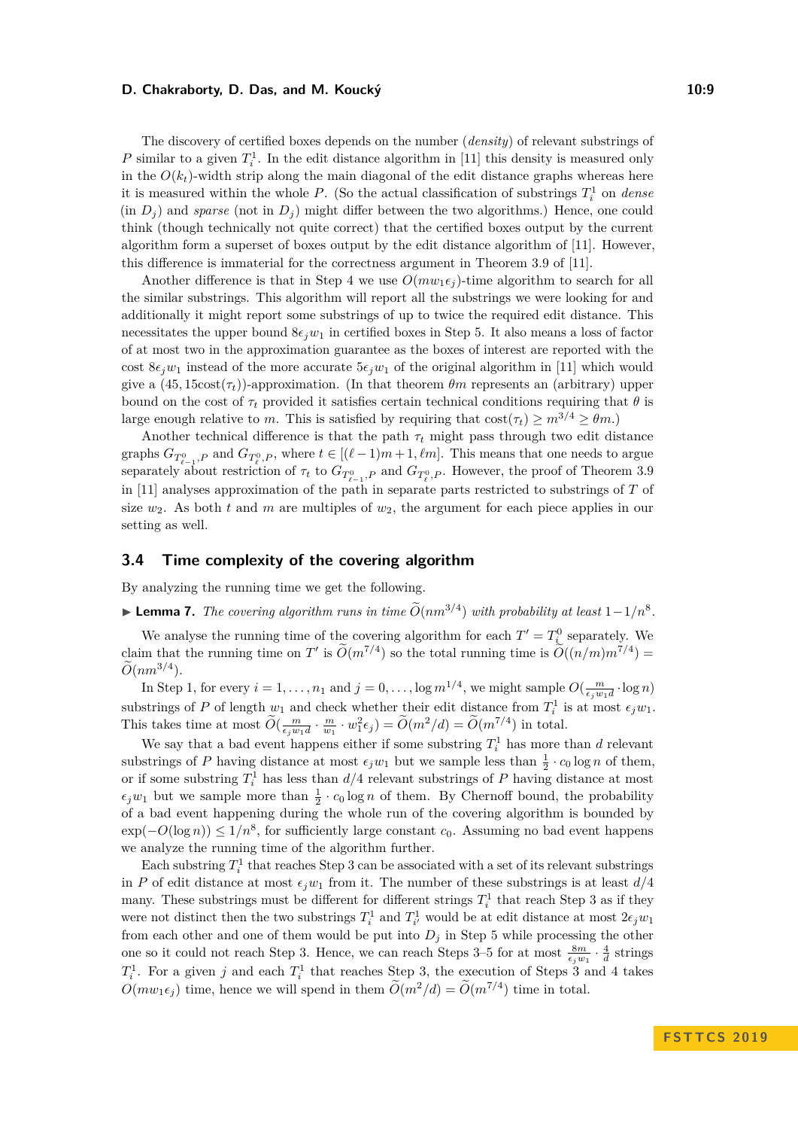#### **D. Chakraborty, D. Das, and M. Koucký 10:9** 10:9

The discovery of certified boxes depends on the number (*density*) of relevant substrings of *P* similar to a given  $T_i^1$ . In the edit distance algorithm in [\[11\]](#page-13-8) this density is measured only in the  $O(k_t)$ -width strip along the main diagonal of the edit distance graphs whereas here it is measured within the whole  $P$ . (So the actual classification of substrings  $T_i^1$  on *dense*  $(in D<sub>j</sub>)$  and *sparse* (not in  $D<sub>j</sub>$ ) might differ between the two algorithms.) Hence, one could think (though technically not quite correct) that the certified boxes output by the current algorithm form a superset of boxes output by the edit distance algorithm of [\[11\]](#page-13-8). However, this difference is immaterial for the correctness argument in Theorem 3.9 of [\[11\]](#page-13-8).

Another difference is that in Step 4 we use  $O(mw_1\epsilon_j)$ -time algorithm to search for all the similar substrings. This algorithm will report all the substrings we were looking for and additionally it might report some substrings of up to twice the required edit distance. This necessitates the upper bound  $8\epsilon_i w_1$  in certified boxes in Step 5. It also means a loss of factor of at most two in the approximation guarantee as the boxes of interest are reported with the cost  $8\epsilon_i w_1$  instead of the more accurate  $5\epsilon_i w_1$  of the original algorithm in [\[11\]](#page-13-8) which would give a  $(45, 15\cos(\tau_t))$ -approximation. (In that theorem  $\theta_m$  represents an (arbitrary) upper bound on the cost of  $\tau_t$  provided it satisfies certain technical conditions requiring that  $\theta$  is large enough relative to *m*. This is satisfied by requiring that  $\cos(\tau_t) > m^{3/4} > \theta_m$ .)

Another technical difference is that the path  $\tau_t$  might pass through two edit distance graphs  $G_{T^0_{\ell-1},P}$  and  $G_{T^0_{\ell},P}$ , where  $t \in [(\ell-1)m+1,\ell m]$ . This means that one needs to argue separately about restriction of  $\tau_t$  to  $G_{T^0_{\ell-1},P}$  and  $G_{T^0_{\ell},P}$ . However, the proof of Theorem 3.9 in [\[11\]](#page-13-8) analyses approximation of the path in separate parts restricted to substrings of *T* of size  $w_2$ . As both *t* and *m* are multiples of  $w_2$ , the argument for each piece applies in our setting as well.

## **3.4 Time complexity of the covering algorithm**

By analyzing the running time we get the following.

► **Lemma 7.** *The covering algorithm runs in time*  $\widetilde{O}(nm^{3/4})$  *with probability at least*  $1-1/n^8$ *.* 

We analyse the running time of the covering algorithm for each  $T' = T^0_{i}$  separately. We claim that the running time on *T*<sup>'</sup> is  $\widetilde{O}(m^{7/4})$  so the total running time is  $\widetilde{O}((n/m)m^{7/4}) =$  $\widetilde{O}(nm^{3/4})$ .

In Step 1, for every  $i = 1, ..., n_1$  and  $j = 0, ..., \log m^{1/4}$ , we might sample  $O(\frac{m}{\epsilon_j w_1 d} \cdot \log n)$ substrings of *P* of length  $w_1$  and check whether their edit distance from  $T_i^1$  is at most  $\epsilon_j w_1$ . This takes time at most  $\widetilde{O}(\frac{m}{\epsilon_j w_1 d} \cdot \frac{m}{w_1} \cdot w_1^2 \epsilon_j) = \widetilde{O}(m^2/d) = \widetilde{O}(m^{7/4})$  in total.

We say that a bad event happens either if some substring  $T_i^1$  has more than *d* relevant substrings of *P* having distance at most  $\epsilon_j w_1$  but we sample less than  $\frac{1}{2} \cdot c_0 \log n$  of them, or if some substring  $T_i^1$  has less than  $d/4$  relevant substrings of  $P$  having distance at most  $\epsilon_j w_1$  but we sample more than  $\frac{1}{2} \cdot c_0 \log n$  of them. By Chernoff bound, the probability of a bad event happening during the whole run of the covering algorithm is bounded by exp(−*O*(log *n*)) ≤ 1*/n*<sup>8</sup> , for sufficiently large constant *c*0. Assuming no bad event happens we analyze the running time of the algorithm further.

Each substring  $T_i^1$  that reaches Step 3 can be associated with a set of its relevant substrings in *P* of edit distance at most  $\epsilon_j w_1$  from it. The number of these substrings is at least  $d/4$ many. These substrings must be different for different strings  $T_i^1$  that reach Step 3 as if they were not distinct then the two substrings  $T_i^1$  and  $T_{i'}^1$  would be at edit distance at most  $2\epsilon_j w_1$ from each other and one of them would be put into  $D_j$  in Step 5 while processing the other one so it could not reach Step 3. Hence, we can reach Steps 3–5 for at most  $\frac{8m}{\epsilon_j w_1} \cdot \frac{4}{d}$  strings  $T_i^1$ . For a given *j* and each  $T_i^1$  that reaches Step 3, the execution of Steps 3 and 4 takes  $O(mw_1\epsilon_j)$  time, hence we will spend in them  $\tilde{O}(m^2/d) = \tilde{O}(m^{7/4})$  time in total.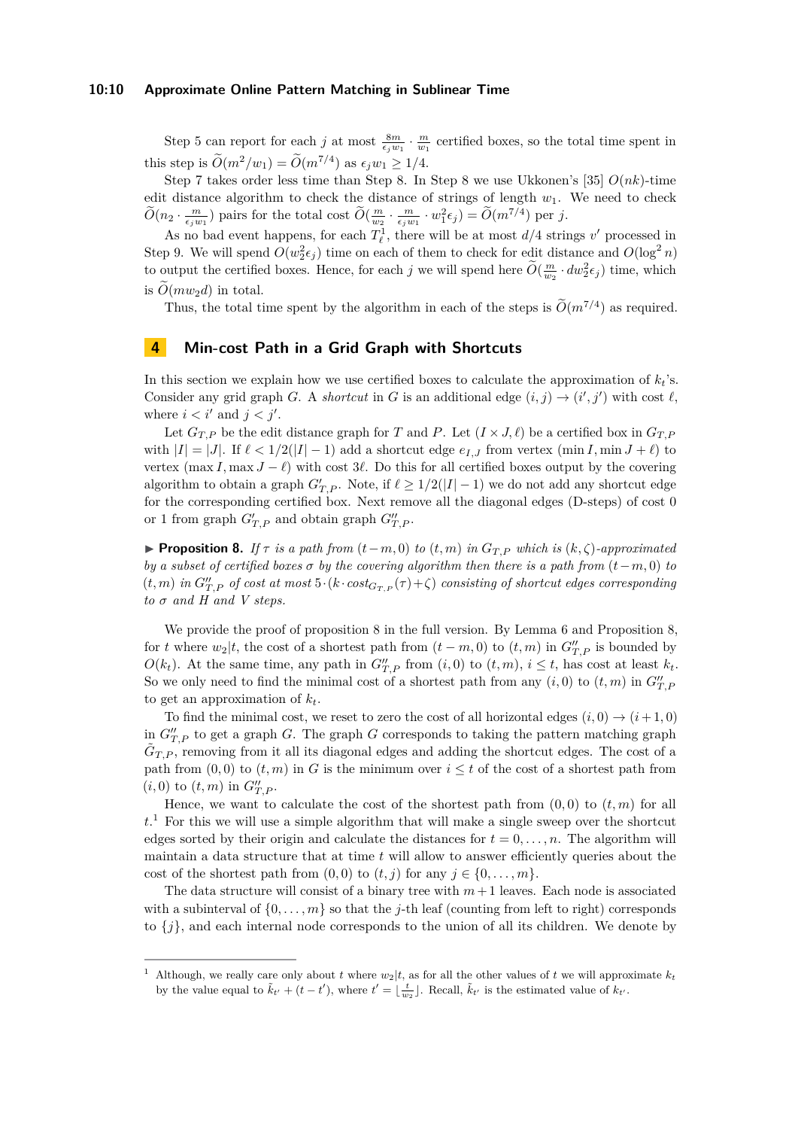#### **10:10 Approximate Online Pattern Matching in Sublinear Time**

Step 5 can report for each *j* at most  $\frac{8m}{\epsilon_j w_1} \cdot \frac{m}{w_1}$  certified boxes, so the total time spent in this step is  $\widetilde{O}(m^2/w_1) = \widetilde{O}(m^{7/4})$  as  $\epsilon_j w_1 \ge 1/4$ .

Step 7 takes order less time than Step 8. In Step 8 we use Ukkonen's [\[35\]](#page-14-22) *O*(*nk*)-time edit distance algorithm to check the distance of strings of length  $w_1$ . We need to check  $\widetilde{O}(m_2 \cdot \frac{m}{\epsilon_j w_1})$  pairs for the total cost  $\widetilde{O}(\frac{m}{w_2} \cdot \frac{m}{\epsilon_j w_1} \cdot w_1^2 \epsilon_j) = \widetilde{O}(m^{7/4})$  per *j*.

As no bad event happens, for each  $T_{\ell}^1$ , there will be at most  $d/4$  strings  $v'$  processed in Step 9. We will spend  $O(w_2^2 \epsilon_j)$  time on each of them to check for edit distance and  $O(\log^2 n)$ to output the certified boxes. Hence, for each *j* we will spend here  $\widetilde{O}(\frac{m}{w_2} \cdot dw_2^2 \epsilon_j)$  time, which is  $O(mw_2d)$  in total.

Thus, the total time spent by the algorithm in each of the steps is  $\tilde{O}(m^{7/4})$  as required.

# <span id="page-9-2"></span>**4 Min-cost Path in a Grid Graph with Shortcuts**

In this section we explain how we use certified boxes to calculate the approximation of  $k_t$ 's. Consider any grid graph *G*. A *shortcut* in *G* is an additional edge  $(i, j) \rightarrow (i', j')$  with cost  $\ell$ , where  $i < i'$  and  $j < j'$ .

Let  $G_{T,P}$  be the edit distance graph for *T* and *P*. Let  $(I \times J, \ell)$  be a certified box in  $G_{T,P}$ with  $|I| = |J|$ . If  $\ell < 1/2(|I| - 1)$  add a shortcut edge  $e_{I,J}$  from vertex (min *I*, min  $J + \ell$ ) to vertex  $(\max I, \max J - \ell)$  with cost 3 $\ell$ . Do this for all certified boxes output by the covering algorithm to obtain a graph  $G'_{T,P}$ . Note, if  $\ell \geq 1/2(|I|-1)$  we do not add any shortcut edge for the corresponding certified box. Next remove all the diagonal edges (D-steps) of cost 0 or 1 from graph  $G'_{T,P}$  and obtain graph  $G''_{T,P}$ .

<span id="page-9-0"></span>**► Proposition 8.** *If*  $\tau$  *is a path from*  $(t-m, 0)$  *to*  $(t, m)$  *in*  $G_{T,P}$  *which is*  $(k, \zeta)$ *-approximated by a subset of certified boxes*  $\sigma$  *by the covering algorithm then there is a path from*  $(t - m, 0)$  *to*  $(t, m)$  *in*  $G''_{T,P}$  *of cost at most*  $5 \cdot (k \cdot cost_{G_{T,P}}(\tau) + \zeta)$  *consisting of shortcut edges corresponding*  $to \sigma$  *and*  $H$  *and*  $V$  *steps.* 

We provide the proof of proposition [8](#page-9-0) in the full version. By Lemma [6](#page-7-1) and Proposition [8,](#page-9-0) for *t* where  $w_2|t$ , the cost of a shortest path from  $(t - m, 0)$  to  $(t, m)$  in  $G''_{T, P}$  is bounded by *O*( $k_t$ ). At the same time, any path in  $G''_{T,P}$  from  $(i,0)$  to  $(t,m)$ ,  $i \leq t$ , has cost at least  $k_t$ . So we only need to find the minimal cost of a shortest path from any  $(i, 0)$  to  $(t, m)$  in  $G''_{T,F}$ to get an approximation of  $k_t$ .

To find the minimal cost, we reset to zero the cost of all horizontal edges  $(i, 0) \rightarrow (i+1, 0)$ in  $G''_{T,P}$  to get a graph *G*. The graph *G* corresponds to taking the pattern matching graph  $\tilde{G}_{T,P}$ , removing from it all its diagonal edges and adding the shortcut edges. The cost of a path from  $(0,0)$  to  $(t,m)$  in *G* is the minimum over  $i \leq t$  of the cost of a shortest path from  $(i, 0)$  to  $(t, m)$  in  $G''_{T, P}$ .

Hence, we want to calculate the cost of the shortest path from  $(0,0)$  to  $(t,m)$  for all  $t<sup>1</sup>$  $t<sup>1</sup>$  $t<sup>1</sup>$  For this we will use a simple algorithm that will make a single sweep over the shortcut edges sorted by their origin and calculate the distances for  $t = 0, \ldots, n$ . The algorithm will maintain a data structure that at time *t* will allow to answer efficiently queries about the cost of the shortest path from  $(0,0)$  to  $(t, j)$  for any  $j \in \{0, \ldots, m\}$ .

The data structure will consist of a binary tree with  $m+1$  leaves. Each node is associated with a subinterval of  $\{0, \ldots, m\}$  so that the *j*-th leaf (counting from left to right) corresponds to  $\{j\}$ , and each internal node corresponds to the union of all its children. We denote by

<span id="page-9-1"></span>Although, we really care only about *t* where  $w_2|t$ , as for all the other values of *t* we will approximate  $k_t$ by the value equal to  $\tilde{k}_{t'} + (t - t')$ , where  $t' = \lfloor \frac{t}{w_2} \rfloor$ . Recall,  $\tilde{k}_{t'}$  is the estimated value of  $k_{t'}$ .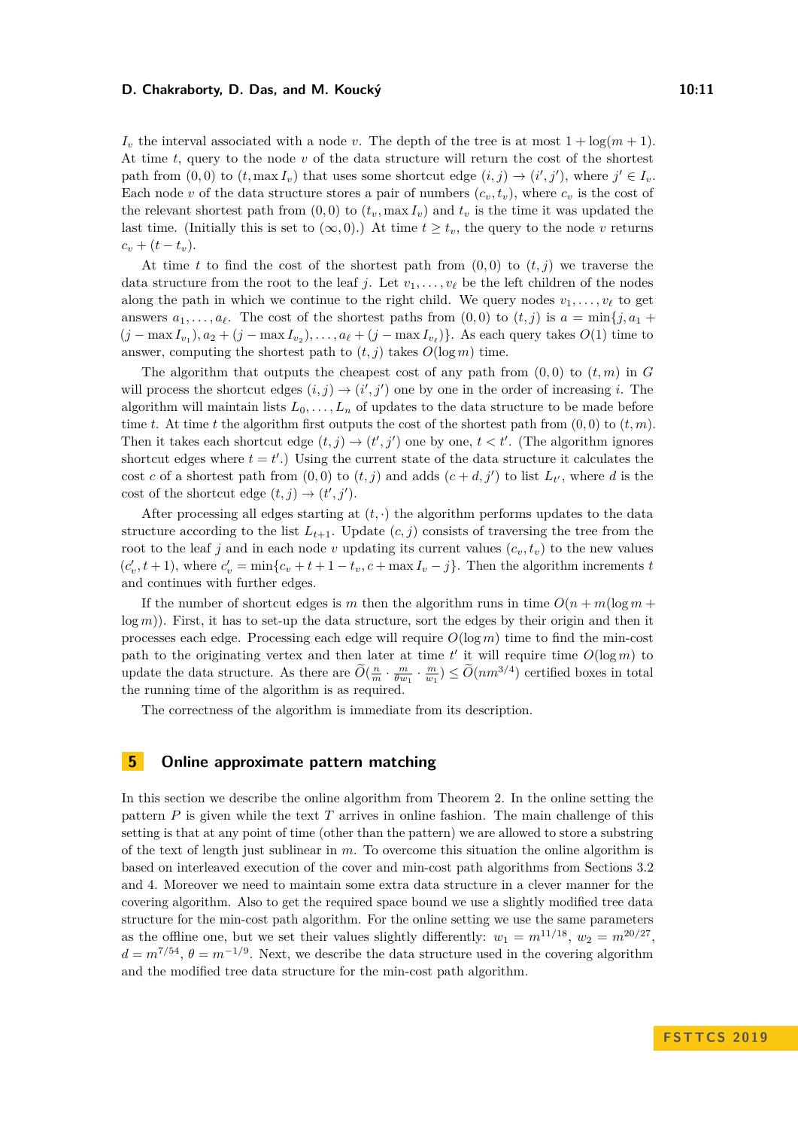#### **D. Chakraborty, D. Das, and M. Koucký 10:11** 10:11

 $I_v$  the interval associated with a node *v*. The depth of the tree is at most  $1 + \log(m + 1)$ . At time *t*, query to the node *v* of the data structure will return the cost of the shortest path from  $(0,0)$  to  $(t, \max I_v)$  that uses some shortcut edge  $(i, j) \rightarrow (i', j')$ , where  $j' \in I_v$ . Each node *v* of the data structure stores a pair of numbers  $(c_v, t_v)$ , where  $c_v$  is the cost of the relevant shortest path from  $(0,0)$  to  $(t_v, \max I_v)$  and  $t_v$  is the time it was updated the last time. (Initially this is set to  $(\infty, 0)$ .) At time  $t > t_v$ , the query to the node v returns  $c_v + (t - t_v).$ 

At time *t* to find the cost of the shortest path from  $(0,0)$  to  $(t, j)$  we traverse the data structure from the root to the leaf *j*. Let  $v_1, \ldots, v_\ell$  be the left children of the nodes along the path in which we continue to the right child. We query nodes  $v_1, \ldots, v_\ell$  to get answers  $a_1, \ldots, a_\ell$ . The cost of the shortest paths from  $(0,0)$  to  $(t, j)$  is  $a = \min\{j, a_1 +$  $(j - \max I_{v_1}), a_2 + (j - \max I_{v_2}), \ldots, a_\ell + (j - \max I_{v_\ell})\}$ . As each query takes  $O(1)$  time to answer, computing the shortest path to  $(t, j)$  takes  $O(\log m)$  time.

The algorithm that outputs the cheapest cost of any path from  $(0,0)$  to  $(t,m)$  in  $G$ will process the shortcut edges  $(i, j) \rightarrow (i', j')$  one by one in the order of increasing *i*. The algorithm will maintain lists  $L_0, \ldots, L_n$  of updates to the data structure to be made before time *t*. At time *t* the algorithm first outputs the cost of the shortest path from  $(0,0)$  to  $(t,m)$ . Then it takes each shortcut edge  $(t, j) \rightarrow (t', j')$  one by one,  $t < t'$ . (The algorithm ignores shortcut edges where  $t = t'$ .) Using the current state of the data structure it calculates the cost *c* of a shortest path from  $(0,0)$  to  $(t, j)$  and adds  $(c+d, j')$  to list  $L_{t'}$ , where *d* is the cost of the shortcut edge  $(t, j) \rightarrow (t', j').$ 

After processing all edges starting at  $(t, \cdot)$  the algorithm performs updates to the data structure according to the list  $L_{t+1}$ . Update  $(c, j)$  consists of traversing the tree from the root to the leaf *j* and in each node *v* updating its current values  $(c_v, t_v)$  to the new values  $(c'_v, t+1)$ , where  $c'_v = \min\{c_v + t + 1 - t_v, c + \max I_v - j\}$ . Then the algorithm increments *t* and continues with further edges.

If the number of shortcut edges is *m* then the algorithm runs in time  $O(n + m(\log m +$ log *m*)). First, it has to set-up the data structure, sort the edges by their origin and then it processes each edge. Processing each edge will require *O*(log *m*) time to find the min-cost path to the originating vertex and then later at time  $t'$  it will require time  $O(\log m)$  to update the data structure. As there are  $\widetilde{O}(\frac{n}{m} \cdot \frac{m}{\theta w_1} \cdot \frac{m}{w_1}) \leq \widetilde{O}(nm^{3/4})$  certified boxes in total the running time of the algorithm is as required.

The correctness of the algorithm is immediate from its description.

# <span id="page-10-0"></span>**5 Online approximate pattern matching**

In this section we describe the online algorithm from Theorem [2.](#page-1-1) In the online setting the pattern *P* is given while the text *T* arrives in online fashion. The main challenge of this setting is that at any point of time (other than the pattern) we are allowed to store a substring of the text of length just sublinear in *m*. To overcome this situation the online algorithm is based on interleaved execution of the cover and min-cost path algorithms from Sections [3.2](#page-5-0) and [4.](#page-9-2) Moreover we need to maintain some extra data structure in a clever manner for the covering algorithm. Also to get the required space bound we use a slightly modified tree data structure for the min-cost path algorithm. For the online setting we use the same parameters as the offline one, but we set their values slightly differently:  $w_1 = m^{11/18}$ ,  $w_2 = m^{20/27}$ ,  $d = m^{7/54}, \theta = m^{-1/9}$ . Next, we describe the data structure used in the covering algorithm and the modified tree data structure for the min-cost path algorithm.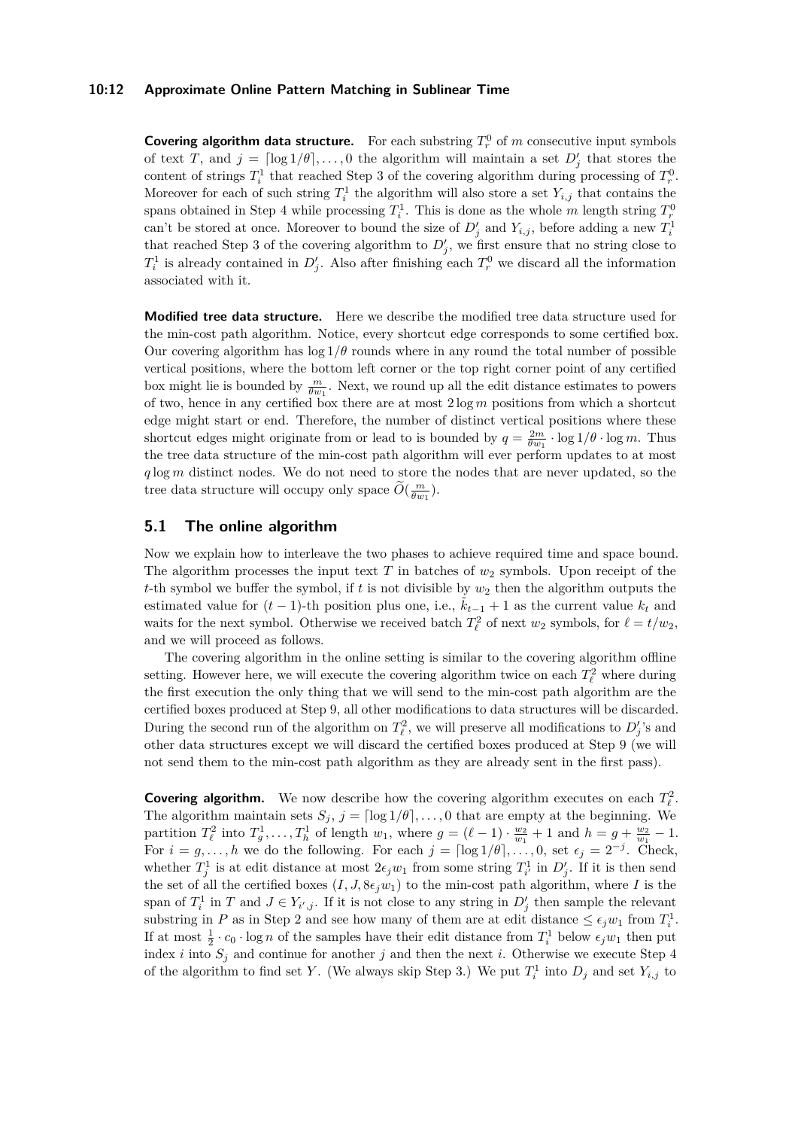#### **10:12 Approximate Online Pattern Matching in Sublinear Time**

**Covering algorithm data structure.** For each substring  $T_r^0$  of  $m$  consecutive input symbols of text *T*, and  $j = \lceil \log 1/\theta \rceil, \ldots, 0$  the algorithm will maintain a set  $D'_j$  that stores the content of strings  $T_i^1$  that reached Step 3 of the covering algorithm during processing of  $T_r^0$ . Moreover for each of such string  $T_i^1$  the algorithm will also store a set  $Y_{i,j}$  that contains the spans obtained in Step 4 while processing  $T_i^1$ . This is done as the whole *m* length string  $T_r^0$ can't be stored at once. Moreover to bound the size of  $D'_j$  and  $Y_{i,j}$ , before adding a new  $T_i^1$ that reached Step 3 of the covering algorithm to  $D'_{j}$ , we first ensure that no string close to  $T_i^1$  is already contained in  $D'_j$ . Also after finishing each  $T_r^0$  we discard all the information associated with it.

**Modified tree data structure.** Here we describe the modified tree data structure used for the min-cost path algorithm. Notice, every shortcut edge corresponds to some certified box. Our covering algorithm has  $\log 1/\theta$  rounds where in any round the total number of possible vertical positions, where the bottom left corner or the top right corner point of any certified box might lie is bounded by  $\frac{m}{\theta w_1}$ . Next, we round up all the edit distance estimates to powers of two, hence in any certified box there are at most 2 log *m* positions from which a shortcut edge might start or end. Therefore, the number of distinct vertical positions where these shortcut edges might originate from or lead to is bounded by  $q = \frac{2m}{\theta w_1} \cdot \log 1/\theta \cdot \log m$ . Thus the tree data structure of the min-cost path algorithm will ever perform updates to at most *q* log *m* distinct nodes. We do not need to store the nodes that are never updated, so the tree data structure will occupy only space  $\widetilde{O}(\frac{m}{\theta w_1})$ .

# **5.1 The online algorithm**

Now we explain how to interleave the two phases to achieve required time and space bound. The algorithm processes the input text *T* in batches of *w*<sup>2</sup> symbols. Upon receipt of the *t*-th symbol we buffer the symbol, if  $t$  is not divisible by  $w_2$  then the algorithm outputs the estimated value for  $(t-1)$ -th position plus one, i.e.,  $\ddot{k}_{t-1} + 1$  as the current value  $k_t$  and waits for the next symbol. Otherwise we received batch  $T_{\ell}^2$  of next  $w_2$  symbols, for  $\ell = t/w_2$ , and we will proceed as follows.

The covering algorithm in the online setting is similar to the covering algorithm offline setting. However here, we will execute the covering algorithm twice on each  $T^2_\ell$  where during the first execution the only thing that we will send to the min-cost path algorithm are the certified boxes produced at Step 9, all other modifications to data structures will be discarded. During the second run of the algorithm on  $T_{\ell}^2$ , we will preserve all modifications to  $D'_j$ 's and other data structures except we will discard the certified boxes produced at Step 9 (we will not send them to the min-cost path algorithm as they are already sent in the first pass).

**Covering algorithm.** We now describe how the covering algorithm executes on each  $T^2_\ell$ . The algorithm maintain sets  $S_j$ ,  $j = \lceil \log 1/\theta \rceil, \ldots, 0$  that are empty at the beginning. We partition  $T_{\ell}^2$  into  $T_g^1, \ldots, T_h^1$  of length  $w_1$ , where  $g = (\ell - 1) \cdot \frac{w_2}{w_1} + 1$  and  $h = g + \frac{w_2}{w_1} - 1$ . For  $i = g, \ldots, h$  we do the following. For each  $j = \lceil \log 1/\theta \rceil, \ldots, 0$ , set  $\epsilon_j = 2^{-j}$ . Check, whether  $T_j^1$  is at edit distance at most  $2\epsilon_j w_1$  from some string  $T_{i'}^1$  in  $D'_j$ . If it is then send the set of all the certified boxes  $(I, J, 8\epsilon_j w_1)$  to the min-cost path algorithm, where *I* is the span of  $T_i^1$  in *T* and  $J \in Y_{i',j}$ . If it is not close to any string in  $D'_j$  then sample the relevant substring in *P* as in Step 2 and see how many of them are at edit distance  $\leq \epsilon_j w_1$  from  $T_i^1$ . If at most  $\frac{1}{2} \cdot c_0 \cdot \log n$  of the samples have their edit distance from  $T_i^1$  below  $\epsilon_j w_1$  then put index *i* into  $S_j$  and continue for another *j* and then the next *i*. Otherwise we execute Step 4 of the algorithm to find set *Y*. (We always skip Step 3.) We put  $T_i^1$  into  $D_j$  and set  $Y_{i,j}$  to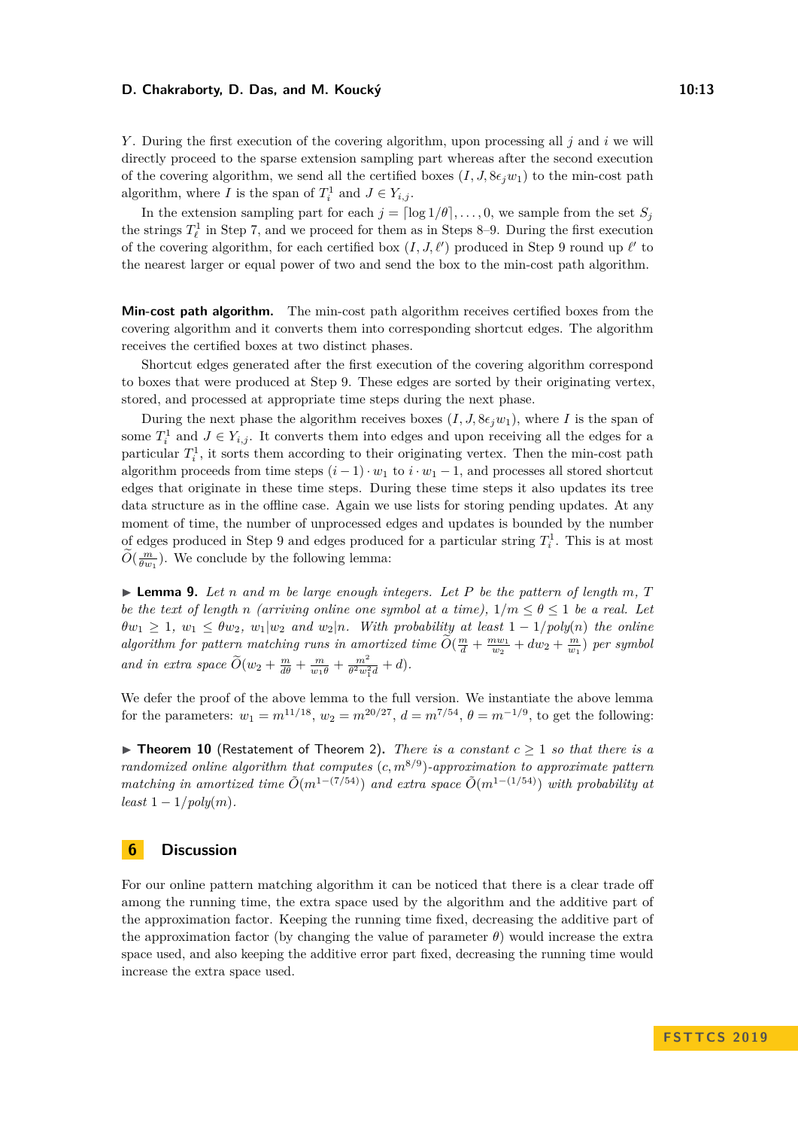#### **D. Chakraborty, D. Das, and M. Koucký 10:13**

*Y* . During the first execution of the covering algorithm, upon processing all *j* and *i* we will directly proceed to the sparse extension sampling part whereas after the second execution of the covering algorithm, we send all the certified boxes  $(I, J, 8\epsilon_i w_1)$  to the min-cost path algorithm, where *I* is the span of  $T_i^1$  and  $J \in Y_{i,j}$ .

In the extension sampling part for each  $j = \lfloor \log 1/\theta \rfloor, \ldots, 0$ , we sample from the set  $S_j$ the strings  $T^1_\ell$  in Step 7, and we proceed for them as in Steps 8–9. During the first execution of the covering algorithm, for each certified box  $(I, J, \ell')$  produced in Step 9 round up  $\ell'$  to the nearest larger or equal power of two and send the box to the min-cost path algorithm.

**Min-cost path algorithm.** The min-cost path algorithm receives certified boxes from the covering algorithm and it converts them into corresponding shortcut edges. The algorithm receives the certified boxes at two distinct phases.

Shortcut edges generated after the first execution of the covering algorithm correspond to boxes that were produced at Step 9. These edges are sorted by their originating vertex, stored, and processed at appropriate time steps during the next phase.

During the next phase the algorithm receives boxes  $(I, J, 8\epsilon_j w_1)$ , where *I* is the span of some  $T_i^1$  and  $J \in Y_{i,j}$ . It converts them into edges and upon receiving all the edges for a particular  $T_i^1$ , it sorts them according to their originating vertex. Then the min-cost path algorithm proceeds from time steps  $(i - 1) \cdot w_1$  to  $i \cdot w_1 - 1$ , and processes all stored shortcut edges that originate in these time steps. During these time steps it also updates its tree data structure as in the offline case. Again we use lists for storing pending updates. At any moment of time, the number of unprocessed edges and updates is bounded by the number of edges produced in Step 9 and edges produced for a particular string  $T_i^1$ . This is at most  $\widetilde{O}(\frac{m}{\theta w_1})$ . We conclude by the following lemma:

 $\blacktriangleright$  **Lemma 9.** Let *n* and *m* be large enough integers. Let P be the pattern of length *m*, *T be the text of length n (arriving online one symbol at a time)*,  $1/m < \theta < 1$  *be a real. Let*  $\theta w_1 \geq 1$ ,  $w_1 \leq \theta w_2$ ,  $w_1|w_2$  *and*  $w_2|n$ *. With probability at least*  $1 - 1/poly(n)$  *the online*  $algorithm$  *for pattern matching runs in amortized time*  $\widetilde{O}(\frac{m}{d} + \frac{m w_1}{w_2} + dw_2 + \frac{m}{w_1})$  *per symbol and in extra space*  $\widetilde{O}(w_2 + \frac{m}{d\theta} + \frac{m}{w_1\theta} + \frac{m^2}{\theta^2 w_1^2 d} + d)$ .

We defer the proof of the above lemma to the full version. We instantiate the above lemma for the parameters:  $w_1 = m^{11/18}$ ,  $w_2 = m^{20/27}$ ,  $d = m^{7/54}$ ,  $\theta = m^{-1/9}$ , to get the following:

**Find Theorem 10** (Restatement of Theorem [2\)](#page-1-1). *There is a constant*  $c \geq 1$  *so that there is a randomized online algorithm that computes* (*c, m*8*/*<sup>9</sup> )*-approximation to approximate pattern matching in amortized time*  $\tilde{O}(m^{1-(7/54)})$  *and extra space*  $\tilde{O}(m^{1-(1/54)})$  *with probability at*  $least 1-1/poly(m)$ .

# **6 Discussion**

For our online pattern matching algorithm it can be noticed that there is a clear trade off among the running time, the extra space used by the algorithm and the additive part of the approximation factor. Keeping the running time fixed, decreasing the additive part of the approximation factor (by changing the value of parameter *θ*) would increase the extra space used, and also keeping the additive error part fixed, decreasing the running time would increase the extra space used.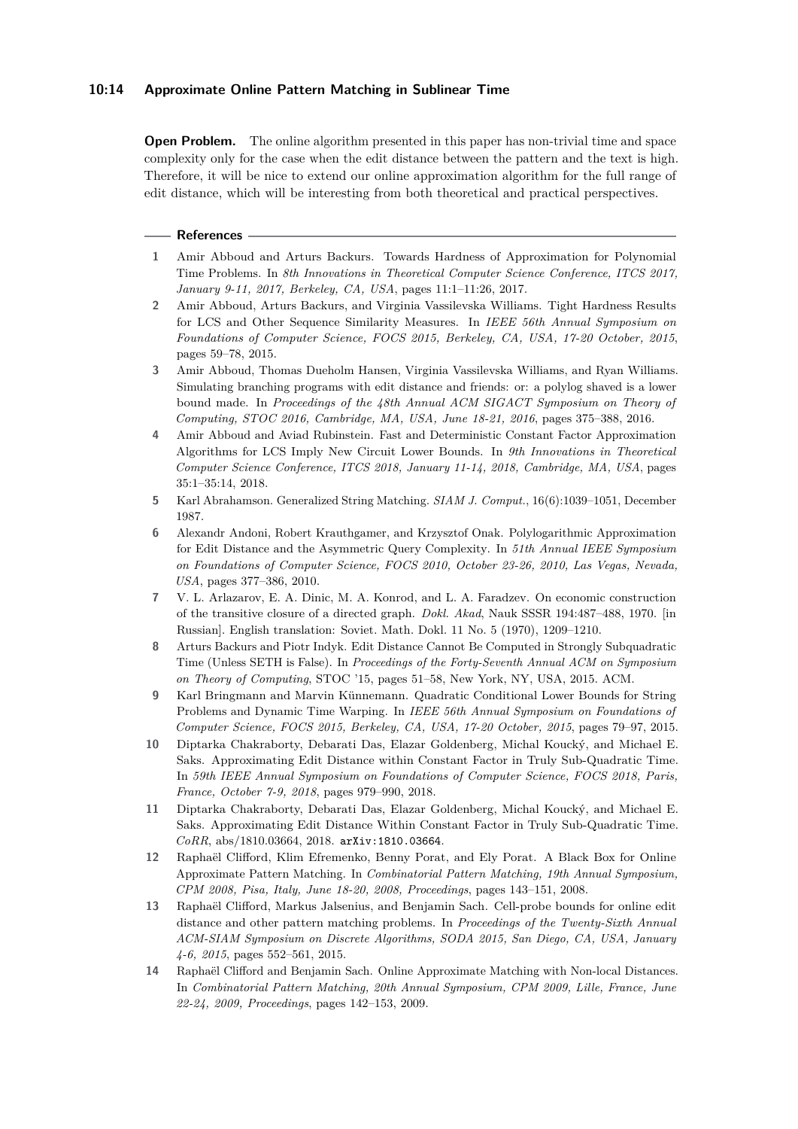## **10:14 Approximate Online Pattern Matching in Sublinear Time**

**Open Problem.** The online algorithm presented in this paper has non-trivial time and space complexity only for the case when the edit distance between the pattern and the text is high. Therefore, it will be nice to extend our online approximation algorithm for the full range of edit distance, which will be interesting from both theoretical and practical perspectives.

#### **References**

- <span id="page-13-5"></span>**1** Amir Abboud and Arturs Backurs. Towards Hardness of Approximation for Polynomial Time Problems. In *8th Innovations in Theoretical Computer Science Conference, ITCS 2017, January 9-11, 2017, Berkeley, CA, USA*, pages 11:1–11:26, 2017.
- <span id="page-13-3"></span>**2** Amir Abboud, Arturs Backurs, and Virginia Vassilevska Williams. Tight Hardness Results for LCS and Other Sequence Similarity Measures. In *IEEE 56th Annual Symposium on Foundations of Computer Science, FOCS 2015, Berkeley, CA, USA, 17-20 October, 2015*, pages 59–78, 2015.
- <span id="page-13-2"></span>**3** Amir Abboud, Thomas Dueholm Hansen, Virginia Vassilevska Williams, and Ryan Williams. Simulating branching programs with edit distance and friends: or: a polylog shaved is a lower bound made. In *Proceedings of the 48th Annual ACM SIGACT Symposium on Theory of Computing, STOC 2016, Cambridge, MA, USA, June 18-21, 2016*, pages 375–388, 2016.
- <span id="page-13-6"></span>**4** Amir Abboud and Aviad Rubinstein. Fast and Deterministic Constant Factor Approximation Algorithms for LCS Imply New Circuit Lower Bounds. In *9th Innovations in Theoretical Computer Science Conference, ITCS 2018, January 11-14, 2018, Cambridge, MA, USA*, pages 35:1–35:14, 2018.
- <span id="page-13-0"></span>**5** Karl Abrahamson. Generalized String Matching. *SIAM J. Comput.*, 16(6):1039–1051, December 1987.
- <span id="page-13-10"></span>**6** Alexandr Andoni, Robert Krauthgamer, and Krzysztof Onak. Polylogarithmic Approximation for Edit Distance and the Asymmetric Query Complexity. In *51th Annual IEEE Symposium on Foundations of Computer Science, FOCS 2010, October 23-26, 2010, Las Vegas, Nevada, USA*, pages 377–386, 2010.
- <span id="page-13-9"></span>**7** V. L. Arlazarov, E. A. Dinic, M. A. Konrod, and L. A. Faradzev. On economic construction of the transitive closure of a directed graph. *Dokl. Akad*, Nauk SSSR 194:487–488, 1970. [in Russian]. English translation: Soviet. Math. Dokl. 11 No. 5 (1970), 1209–1210.
- <span id="page-13-1"></span>**8** Arturs Backurs and Piotr Indyk. Edit Distance Cannot Be Computed in Strongly Subquadratic Time (Unless SETH is False). In *Proceedings of the Forty-Seventh Annual ACM on Symposium on Theory of Computing*, STOC '15, pages 51–58, New York, NY, USA, 2015. ACM.
- <span id="page-13-4"></span>**9** Karl Bringmann and Marvin Künnemann. Quadratic Conditional Lower Bounds for String Problems and Dynamic Time Warping. In *IEEE 56th Annual Symposium on Foundations of Computer Science, FOCS 2015, Berkeley, CA, USA, 17-20 October, 2015*, pages 79–97, 2015.
- <span id="page-13-7"></span>**10** Diptarka Chakraborty, Debarati Das, Elazar Goldenberg, Michal Koucký, and Michael E. Saks. Approximating Edit Distance within Constant Factor in Truly Sub-Quadratic Time. In *59th IEEE Annual Symposium on Foundations of Computer Science, FOCS 2018, Paris, France, October 7-9, 2018*, pages 979–990, 2018.
- <span id="page-13-8"></span>**11** Diptarka Chakraborty, Debarati Das, Elazar Goldenberg, Michal Koucký, and Michael E. Saks. Approximating Edit Distance Within Constant Factor in Truly Sub-Quadratic Time. *CoRR*, abs/1810.03664, 2018. [arXiv:1810.03664](http://arxiv.org/abs/1810.03664).
- <span id="page-13-11"></span>**12** Raphaël Clifford, Klim Efremenko, Benny Porat, and Ely Porat. A Black Box for Online Approximate Pattern Matching. In *Combinatorial Pattern Matching, 19th Annual Symposium, CPM 2008, Pisa, Italy, June 18-20, 2008, Proceedings*, pages 143–151, 2008.
- <span id="page-13-13"></span>**13** Raphaël Clifford, Markus Jalsenius, and Benjamin Sach. Cell-probe bounds for online edit distance and other pattern matching problems. In *Proceedings of the Twenty-Sixth Annual ACM-SIAM Symposium on Discrete Algorithms, SODA 2015, San Diego, CA, USA, January 4-6, 2015*, pages 552–561, 2015.
- <span id="page-13-12"></span>**14** Raphaël Clifford and Benjamin Sach. Online Approximate Matching with Non-local Distances. In *Combinatorial Pattern Matching, 20th Annual Symposium, CPM 2009, Lille, France, June 22-24, 2009, Proceedings*, pages 142–153, 2009.